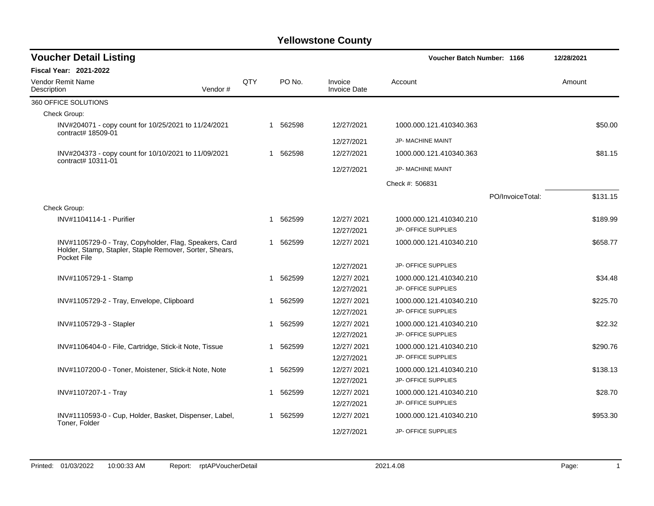| <b>Voucher Detail Listing</b>                                                                                                    |         |     |   |          |                                | <b>Voucher Batch Number: 1166</b> |                  | 12/28/2021 |          |
|----------------------------------------------------------------------------------------------------------------------------------|---------|-----|---|----------|--------------------------------|-----------------------------------|------------------|------------|----------|
| Fiscal Year: 2021-2022                                                                                                           |         |     |   |          |                                |                                   |                  |            |          |
| Vendor Remit Name<br>Description                                                                                                 | Vendor# | QTY |   | PO No.   | Invoice<br><b>Invoice Date</b> | Account                           |                  | Amount     |          |
| 360 OFFICE SOLUTIONS                                                                                                             |         |     |   |          |                                |                                   |                  |            |          |
| Check Group:                                                                                                                     |         |     |   |          |                                |                                   |                  |            |          |
| INV#204071 - copy count for 10/25/2021 to 11/24/2021<br>contract# 18509-01                                                       |         |     |   | 1 562598 | 12/27/2021                     | 1000.000.121.410340.363           |                  |            | \$50.00  |
|                                                                                                                                  |         |     |   |          | 12/27/2021                     | <b>JP- MACHINE MAINT</b>          |                  |            |          |
| INV#204373 - copy count for 10/10/2021 to 11/09/2021<br>contract# 10311-01                                                       |         |     |   | 1 562598 | 12/27/2021                     | 1000.000.121.410340.363           |                  |            | \$81.15  |
|                                                                                                                                  |         |     |   |          | 12/27/2021                     | JP- MACHINE MAINT                 |                  |            |          |
|                                                                                                                                  |         |     |   |          |                                | Check #: 506831                   |                  |            |          |
|                                                                                                                                  |         |     |   |          |                                |                                   | PO/InvoiceTotal: |            | \$131.15 |
| Check Group:                                                                                                                     |         |     |   |          |                                |                                   |                  |            |          |
| INV#1104114-1 - Purifier                                                                                                         |         |     |   | 1 562599 | 12/27/2021                     | 1000.000.121.410340.210           |                  |            | \$189.99 |
|                                                                                                                                  |         |     |   |          | 12/27/2021                     | JP- OFFICE SUPPLIES               |                  |            |          |
| INV#1105729-0 - Tray, Copyholder, Flag, Speakers, Card<br>Holder, Stamp, Stapler, Staple Remover, Sorter, Shears,<br>Pocket File |         |     |   | 1 562599 | 12/27/2021                     | 1000.000.121.410340.210           |                  |            | \$658.77 |
|                                                                                                                                  |         |     |   |          | 12/27/2021                     | JP- OFFICE SUPPLIES               |                  |            |          |
| INV#1105729-1 - Stamp                                                                                                            |         |     | 1 | 562599   | 12/27/2021                     | 1000.000.121.410340.210           |                  |            | \$34.48  |
|                                                                                                                                  |         |     |   |          | 12/27/2021                     | JP- OFFICE SUPPLIES               |                  |            |          |
| INV#1105729-2 - Tray, Envelope, Clipboard                                                                                        |         |     |   | 1 562599 | 12/27/2021                     | 1000.000.121.410340.210           |                  |            | \$225.70 |
|                                                                                                                                  |         |     |   |          | 12/27/2021                     | <b>JP- OFFICE SUPPLIES</b>        |                  |            |          |
| INV#1105729-3 - Stapler                                                                                                          |         |     | 1 | 562599   | 12/27/2021                     | 1000.000.121.410340.210           |                  |            | \$22.32  |
|                                                                                                                                  |         |     |   |          | 12/27/2021                     | <b>JP- OFFICE SUPPLIES</b>        |                  |            |          |
| INV#1106404-0 - File, Cartridge, Stick-it Note, Tissue                                                                           |         |     |   | 1 562599 | 12/27/2021                     | 1000.000.121.410340.210           |                  |            | \$290.76 |
|                                                                                                                                  |         |     |   |          | 12/27/2021                     | JP- OFFICE SUPPLIES               |                  |            |          |
| INV#1107200-0 - Toner, Moistener, Stick-it Note, Note                                                                            |         |     | 1 | 562599   | 12/27/2021                     | 1000.000.121.410340.210           |                  |            | \$138.13 |
|                                                                                                                                  |         |     |   |          | 12/27/2021                     | JP- OFFICE SUPPLIES               |                  |            |          |
| INV#1107207-1 - Tray                                                                                                             |         |     |   | 1 562599 | 12/27/2021                     | 1000.000.121.410340.210           |                  |            | \$28.70  |
|                                                                                                                                  |         |     |   |          | 12/27/2021                     | JP- OFFICE SUPPLIES               |                  |            |          |
| INV#1110593-0 - Cup, Holder, Basket, Dispenser, Label,<br>Toner, Folder                                                          |         |     |   | 1 562599 | 12/27/2021                     | 1000.000.121.410340.210           |                  |            | \$953.30 |
|                                                                                                                                  |         |     |   |          | 12/27/2021                     | <b>JP- OFFICE SUPPLIES</b>        |                  |            |          |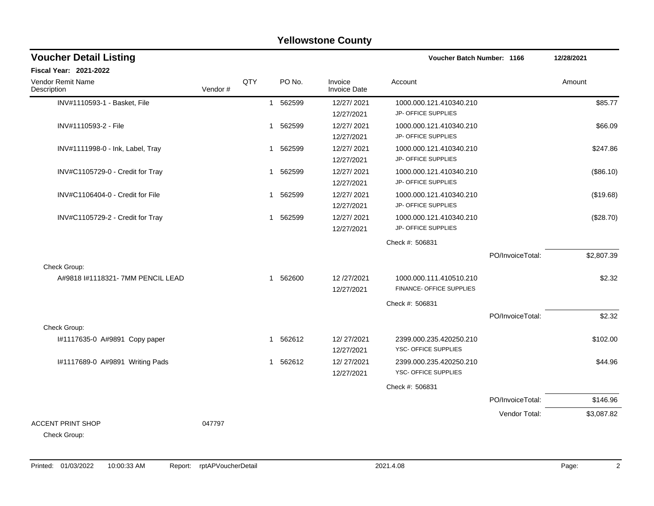|                                  |         |     |             | <b>Yellowstone County</b>      |                            |                  |            |
|----------------------------------|---------|-----|-------------|--------------------------------|----------------------------|------------------|------------|
| <b>Voucher Detail Listing</b>    |         |     |             |                                | Voucher Batch Number: 1166 |                  | 12/28/2021 |
| <b>Fiscal Year: 2021-2022</b>    |         |     |             |                                |                            |                  |            |
| Vendor Remit Name<br>Description | Vendor# | QTY | PO No.      | Invoice<br><b>Invoice Date</b> | Account                    |                  | Amount     |
| INV#1110593-1 - Basket, File     |         |     | 1 562599    | 12/27/2021                     | 1000.000.121.410340.210    |                  | \$85.77    |
|                                  |         |     |             | 12/27/2021                     | JP- OFFICE SUPPLIES        |                  |            |
| INV#1110593-2 - File             |         |     | 562599<br>1 | 12/27/2021                     | 1000.000.121.410340.210    |                  | \$66.09    |
|                                  |         |     |             | 12/27/2021                     | JP- OFFICE SUPPLIES        |                  |            |
| INV#1111998-0 - Ink, Label, Tray |         |     | 1 562599    | 12/27/2021                     | 1000.000.121.410340.210    |                  | \$247.86   |
|                                  |         |     |             | 12/27/2021                     | JP- OFFICE SUPPLIES        |                  |            |
| INV#C1105729-0 - Credit for Tray |         |     | 562599<br>1 | 12/27/2021                     | 1000.000.121.410340.210    |                  | (\$86.10)  |
|                                  |         |     |             | 12/27/2021                     | JP- OFFICE SUPPLIES        |                  |            |
| INV#C1106404-0 - Credit for File |         |     | 1 562599    | 12/27/2021                     | 1000.000.121.410340.210    |                  | (\$19.68)  |
|                                  |         |     |             | 12/27/2021                     | <b>JP- OFFICE SUPPLIES</b> |                  |            |
| INV#C1105729-2 - Credit for Tray |         |     | 1 562599    | 12/27/2021                     | 1000.000.121.410340.210    |                  | (\$28.70)  |
|                                  |         |     |             | 12/27/2021                     | JP- OFFICE SUPPLIES        |                  |            |
|                                  |         |     |             |                                | Check #: 506831            |                  |            |
|                                  |         |     |             |                                |                            | PO/InvoiceTotal: | \$2,807.39 |
| Check Group:                     |         |     |             |                                |                            |                  |            |
| A#9818 #1118321-7MM PENCIL LEAD  |         |     | 1 562600    | 12/27/2021                     | 1000.000.111.410510.210    |                  | \$2.32     |
|                                  |         |     |             | 12/27/2021                     | FINANCE- OFFICE SUPPLIES   |                  |            |
|                                  |         |     |             |                                | Check #: 506831            |                  |            |
|                                  |         |     |             |                                |                            | PO/InvoiceTotal: | \$2.32     |
| Check Group:                     |         |     |             |                                |                            |                  |            |
| #1117635-0 A#9891 Copy paper     |         |     | 562612<br>1 | 12/27/2021                     | 2399.000.235.420250.210    |                  | \$102.00   |
|                                  |         |     |             | 12/27/2021                     | YSC- OFFICE SUPPLIES       |                  |            |
| I#1117689-0 A#9891 Writing Pads  |         |     | 1 562612    | 12/27/2021                     | 2399.000.235.420250.210    |                  | \$44.96    |
|                                  |         |     |             | 12/27/2021                     | YSC- OFFICE SUPPLIES       |                  |            |
|                                  |         |     |             |                                | Check #: 506831            |                  |            |
|                                  |         |     |             |                                |                            | PO/InvoiceTotal: | \$146.96   |
|                                  |         |     |             |                                |                            | Vendor Total:    | \$3,087.82 |
| <b>ACCENT PRINT SHOP</b>         | 047797  |     |             |                                |                            |                  |            |
| Check Group:                     |         |     |             |                                |                            |                  |            |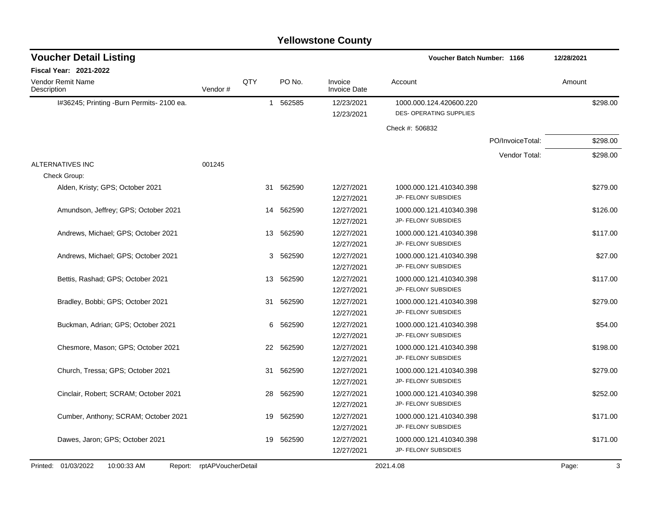| <b>Voucher Detail Listing</b>                 |                    | Voucher Batch Number: 1166 |           |                                |                         |                  |            |
|-----------------------------------------------|--------------------|----------------------------|-----------|--------------------------------|-------------------------|------------------|------------|
| Fiscal Year: 2021-2022                        |                    |                            |           |                                |                         |                  |            |
| Vendor Remit Name<br>Description              | Vendor#            | QTY                        | PO No.    | Invoice<br><b>Invoice Date</b> | Account                 |                  | Amount     |
| I#36245; Printing -Burn Permits- 2100 ea.     |                    |                            | 1 562585  | 12/23/2021                     | 1000.000.124.420600.220 |                  | \$298.00   |
|                                               |                    |                            |           | 12/23/2021                     | DES- OPERATING SUPPLIES |                  |            |
|                                               |                    |                            |           |                                | Check #: 506832         |                  |            |
|                                               |                    |                            |           |                                |                         | PO/InvoiceTotal: | \$298.00   |
|                                               |                    |                            |           |                                |                         | Vendor Total:    | \$298.00   |
| ALTERNATIVES INC                              | 001245             |                            |           |                                |                         |                  |            |
| Check Group:                                  |                    |                            |           |                                |                         |                  |            |
| Alden, Kristy; GPS; October 2021              |                    |                            | 31 562590 | 12/27/2021                     | 1000.000.121.410340.398 |                  | \$279.00   |
|                                               |                    |                            |           | 12/27/2021                     | JP- FELONY SUBSIDIES    |                  |            |
| Amundson, Jeffrey; GPS; October 2021          |                    |                            | 14 562590 | 12/27/2021                     | 1000.000.121.410340.398 |                  | \$126.00   |
|                                               |                    |                            |           | 12/27/2021                     | JP- FELONY SUBSIDIES    |                  |            |
| Andrews, Michael; GPS; October 2021           |                    |                            | 13 562590 | 12/27/2021                     | 1000.000.121.410340.398 |                  | \$117.00   |
|                                               |                    |                            |           | 12/27/2021                     | JP- FELONY SUBSIDIES    |                  |            |
| Andrews, Michael; GPS; October 2021           |                    | 3                          | 562590    | 12/27/2021                     | 1000.000.121.410340.398 |                  | \$27.00    |
|                                               |                    |                            |           | 12/27/2021                     | JP- FELONY SUBSIDIES    |                  |            |
| Bettis, Rashad; GPS; October 2021             |                    | 13                         | 562590    | 12/27/2021                     | 1000.000.121.410340.398 |                  | \$117.00   |
|                                               |                    |                            |           | 12/27/2021                     | JP- FELONY SUBSIDIES    |                  |            |
| Bradley, Bobbi; GPS; October 2021             |                    | 31                         | 562590    | 12/27/2021                     | 1000.000.121.410340.398 |                  | \$279.00   |
|                                               |                    |                            |           | 12/27/2021                     | JP- FELONY SUBSIDIES    |                  |            |
| Buckman, Adrian; GPS; October 2021            |                    | 6                          | 562590    | 12/27/2021                     | 1000.000.121.410340.398 |                  | \$54.00    |
|                                               |                    |                            |           | 12/27/2021                     | JP- FELONY SUBSIDIES    |                  |            |
| Chesmore, Mason; GPS; October 2021            |                    | 22                         | 562590    | 12/27/2021                     | 1000.000.121.410340.398 |                  | \$198.00   |
|                                               |                    |                            |           | 12/27/2021                     | JP- FELONY SUBSIDIES    |                  |            |
| Church, Tressa; GPS; October 2021             |                    | 31                         | 562590    | 12/27/2021                     | 1000.000.121.410340.398 |                  | \$279.00   |
|                                               |                    |                            |           | 12/27/2021                     | JP- FELONY SUBSIDIES    |                  |            |
| Cinclair, Robert; SCRAM; October 2021         |                    | 28                         | 562590    | 12/27/2021                     | 1000.000.121.410340.398 |                  | \$252.00   |
|                                               |                    |                            |           | 12/27/2021                     | JP- FELONY SUBSIDIES    |                  |            |
| Cumber, Anthony; SCRAM; October 2021          |                    | 19                         | 562590    | 12/27/2021                     | 1000.000.121.410340.398 |                  | \$171.00   |
|                                               |                    |                            |           | 12/27/2021                     | JP- FELONY SUBSIDIES    |                  |            |
| Dawes, Jaron; GPS; October 2021               |                    | 19                         | 562590    | 12/27/2021                     | 1000.000.121.410340.398 |                  | \$171.00   |
|                                               |                    |                            |           | 12/27/2021                     | JP- FELONY SUBSIDIES    |                  |            |
| Printed: 01/03/2022<br>10:00:33 AM<br>Report: | rptAPVoucherDetail |                            |           |                                | 2021.4.08               |                  | 3<br>Page: |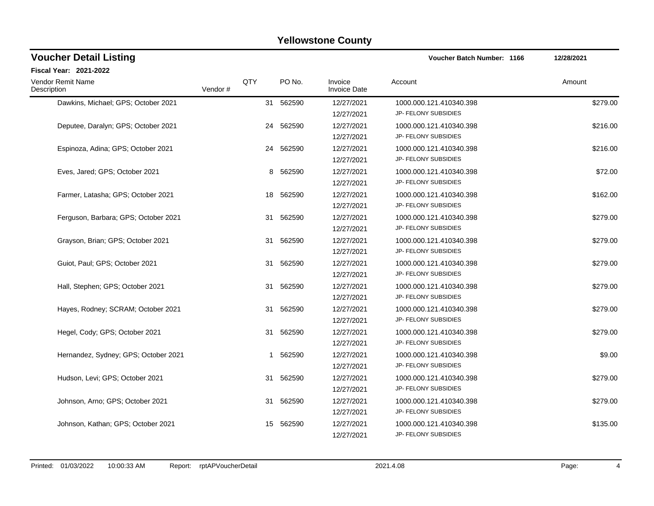| <b>Voucher Detail Listing</b>        |         |     |           |                                | Voucher Batch Number: 1166                             | 12/28/2021 |
|--------------------------------------|---------|-----|-----------|--------------------------------|--------------------------------------------------------|------------|
| Fiscal Year: 2021-2022               |         |     |           |                                |                                                        |            |
| Vendor Remit Name<br>Description     | Vendor# | QTY | PO No.    | Invoice<br><b>Invoice Date</b> | Account                                                | Amount     |
| Dawkins, Michael; GPS; October 2021  |         |     | 31 562590 | 12/27/2021<br>12/27/2021       | 1000.000.121.410340.398<br>JP- FELONY SUBSIDIES        | \$279.00   |
| Deputee, Daralyn; GPS; October 2021  |         | 24  | 562590    | 12/27/2021<br>12/27/2021       | 1000.000.121.410340.398<br>JP- FELONY SUBSIDIES        | \$216.00   |
| Espinoza, Adina; GPS; October 2021   |         |     | 24 562590 | 12/27/2021<br>12/27/2021       | 1000.000.121.410340.398<br>JP- FELONY SUBSIDIES        | \$216.00   |
| Eves, Jared; GPS; October 2021       |         |     | 8 562590  | 12/27/2021<br>12/27/2021       | 1000.000.121.410340.398<br>JP- FELONY SUBSIDIES        | \$72.00    |
| Farmer, Latasha; GPS; October 2021   |         |     | 18 562590 | 12/27/2021<br>12/27/2021       | 1000.000.121.410340.398<br>JP- FELONY SUBSIDIES        | \$162.00   |
| Ferguson, Barbara; GPS; October 2021 |         | 31  | 562590    | 12/27/2021<br>12/27/2021       | 1000.000.121.410340.398<br>JP- FELONY SUBSIDIES        | \$279.00   |
| Grayson, Brian; GPS; October 2021    |         | 31  | 562590    | 12/27/2021<br>12/27/2021       | 1000.000.121.410340.398<br>JP- FELONY SUBSIDIES        | \$279.00   |
| Guiot, Paul; GPS; October 2021       |         | 31  | 562590    | 12/27/2021<br>12/27/2021       | 1000.000.121.410340.398<br>JP- FELONY SUBSIDIES        | \$279.00   |
| Hall, Stephen; GPS; October 2021     |         | 31  | 562590    | 12/27/2021<br>12/27/2021       | 1000.000.121.410340.398<br>JP- FELONY SUBSIDIES        | \$279.00   |
| Hayes, Rodney; SCRAM; October 2021   |         | 31  | 562590    | 12/27/2021<br>12/27/2021       | 1000.000.121.410340.398<br>JP- FELONY SUBSIDIES        | \$279.00   |
| Hegel, Cody; GPS; October 2021       |         |     | 31 562590 | 12/27/2021<br>12/27/2021       | 1000.000.121.410340.398<br>JP- FELONY SUBSIDIES        | \$279.00   |
| Hernandez, Sydney; GPS; October 2021 |         |     | 1 562590  | 12/27/2021<br>12/27/2021       | 1000.000.121.410340.398<br>JP- FELONY SUBSIDIES        | \$9.00     |
| Hudson, Levi; GPS; October 2021      |         | 31  | 562590    | 12/27/2021<br>12/27/2021       | 1000.000.121.410340.398<br>JP- FELONY SUBSIDIES        | \$279.00   |
| Johnson, Arno; GPS; October 2021     |         | 31  | 562590    | 12/27/2021<br>12/27/2021       | 1000.000.121.410340.398<br>JP- FELONY SUBSIDIES        | \$279.00   |
| Johnson, Kathan; GPS; October 2021   |         | 15  | 562590    | 12/27/2021<br>12/27/2021       | 1000.000.121.410340.398<br><b>JP- FELONY SUBSIDIES</b> | \$135.00   |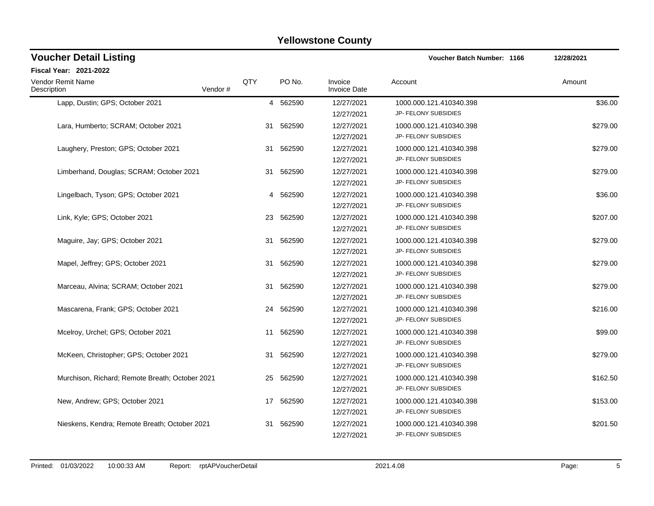| <b>Voucher Detail Listing</b>                   |         |     |           |                                | <b>Voucher Batch Number: 1166</b>                      | 12/28/2021 |
|-------------------------------------------------|---------|-----|-----------|--------------------------------|--------------------------------------------------------|------------|
| Fiscal Year: 2021-2022                          |         |     |           |                                |                                                        |            |
| <b>Vendor Remit Name</b><br>Description         | Vendor# | QTY | PO No.    | Invoice<br><b>Invoice Date</b> | Account                                                | Amount     |
| Lapp, Dustin; GPS; October 2021                 |         |     | 4 562590  | 12/27/2021<br>12/27/2021       | 1000.000.121.410340.398<br>JP- FELONY SUBSIDIES        | \$36.00    |
| Lara, Humberto; SCRAM; October 2021             |         | 31  | 562590    | 12/27/2021<br>12/27/2021       | 1000.000.121.410340.398<br>JP- FELONY SUBSIDIES        | \$279.00   |
| Laughery, Preston; GPS; October 2021            |         |     | 31 562590 | 12/27/2021<br>12/27/2021       | 1000.000.121.410340.398<br>JP- FELONY SUBSIDIES        | \$279.00   |
| Limberhand, Douglas; SCRAM; October 2021        |         | 31  | 562590    | 12/27/2021<br>12/27/2021       | 1000.000.121.410340.398<br>JP- FELONY SUBSIDIES        | \$279.00   |
| Lingelbach, Tyson; GPS; October 2021            |         |     | 4 562590  | 12/27/2021<br>12/27/2021       | 1000.000.121.410340.398<br>JP- FELONY SUBSIDIES        | \$36.00    |
| Link, Kyle; GPS; October 2021                   |         | 23  | 562590    | 12/27/2021<br>12/27/2021       | 1000.000.121.410340.398<br>JP- FELONY SUBSIDIES        | \$207.00   |
| Maguire, Jay; GPS; October 2021                 |         |     | 31 562590 | 12/27/2021<br>12/27/2021       | 1000.000.121.410340.398<br>JP- FELONY SUBSIDIES        | \$279.00   |
| Mapel, Jeffrey; GPS; October 2021               |         |     | 31 562590 | 12/27/2021<br>12/27/2021       | 1000.000.121.410340.398<br>JP- FELONY SUBSIDIES        | \$279.00   |
| Marceau, Alvina; SCRAM; October 2021            |         |     | 31 562590 | 12/27/2021<br>12/27/2021       | 1000.000.121.410340.398<br>JP- FELONY SUBSIDIES        | \$279.00   |
| Mascarena, Frank; GPS; October 2021             |         | 24  | 562590    | 12/27/2021<br>12/27/2021       | 1000.000.121.410340.398<br>JP- FELONY SUBSIDIES        | \$216.00   |
| Mcelroy, Urchel; GPS; October 2021              |         | 11  | 562590    | 12/27/2021<br>12/27/2021       | 1000.000.121.410340.398<br>JP- FELONY SUBSIDIES        | \$99.00    |
| McKeen, Christopher; GPS; October 2021          |         |     | 31 562590 | 12/27/2021<br>12/27/2021       | 1000.000.121.410340.398<br>JP- FELONY SUBSIDIES        | \$279.00   |
| Murchison, Richard; Remote Breath; October 2021 |         | 25  | 562590    | 12/27/2021<br>12/27/2021       | 1000.000.121.410340.398<br>JP- FELONY SUBSIDIES        | \$162.50   |
| New, Andrew; GPS; October 2021                  |         |     | 17 562590 | 12/27/2021<br>12/27/2021       | 1000.000.121.410340.398<br>JP- FELONY SUBSIDIES        | \$153.00   |
| Nieskens, Kendra; Remote Breath; October 2021   |         | 31  | 562590    | 12/27/2021<br>12/27/2021       | 1000.000.121.410340.398<br><b>JP- FELONY SUBSIDIES</b> | \$201.50   |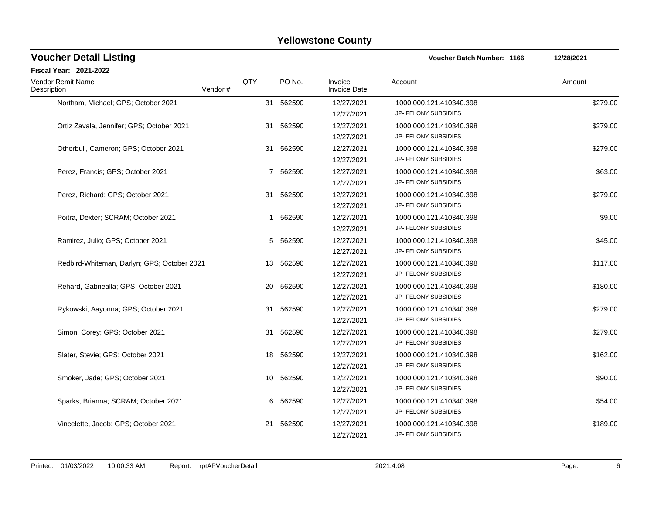| <b>Voucher Detail Listing</b>               |         |     |           |                                | <b>Voucher Batch Number: 1166</b>                      | 12/28/2021 |
|---------------------------------------------|---------|-----|-----------|--------------------------------|--------------------------------------------------------|------------|
| <b>Fiscal Year: 2021-2022</b>               |         |     |           |                                |                                                        |            |
| <b>Vendor Remit Name</b><br>Description     | Vendor# | QTY | PO No.    | Invoice<br><b>Invoice Date</b> | Account                                                | Amount     |
| Northam, Michael; GPS; October 2021         |         |     | 31 562590 | 12/27/2021<br>12/27/2021       | 1000.000.121.410340.398<br>JP- FELONY SUBSIDIES        | \$279.00   |
| Ortiz Zavala, Jennifer; GPS; October 2021   |         |     | 31 562590 | 12/27/2021<br>12/27/2021       | 1000.000.121.410340.398<br>JP- FELONY SUBSIDIES        | \$279.00   |
| Otherbull, Cameron; GPS; October 2021       |         |     | 31 562590 | 12/27/2021<br>12/27/2021       | 1000.000.121.410340.398<br>JP- FELONY SUBSIDIES        | \$279.00   |
| Perez, Francis: GPS: October 2021           |         |     | 7 562590  | 12/27/2021<br>12/27/2021       | 1000.000.121.410340.398<br>JP- FELONY SUBSIDIES        | \$63.00    |
| Perez, Richard; GPS; October 2021           |         |     | 31 562590 | 12/27/2021<br>12/27/2021       | 1000.000.121.410340.398<br>JP- FELONY SUBSIDIES        | \$279.00   |
| Poitra, Dexter: SCRAM: October 2021         |         | -1  | 562590    | 12/27/2021<br>12/27/2021       | 1000.000.121.410340.398<br>JP- FELONY SUBSIDIES        | \$9.00     |
| Ramirez, Julio; GPS; October 2021           |         |     | 5 562590  | 12/27/2021<br>12/27/2021       | 1000.000.121.410340.398<br>JP- FELONY SUBSIDIES        | \$45.00    |
| Redbird-Whiteman, Darlyn; GPS; October 2021 |         | 13  | 562590    | 12/27/2021<br>12/27/2021       | 1000.000.121.410340.398<br>JP- FELONY SUBSIDIES        | \$117.00   |
| Rehard, Gabriealla; GPS; October 2021       |         |     | 20 562590 | 12/27/2021<br>12/27/2021       | 1000.000.121.410340.398<br>JP- FELONY SUBSIDIES        | \$180.00   |
| Rykowski, Aayonna; GPS; October 2021        |         | 31  | 562590    | 12/27/2021<br>12/27/2021       | 1000.000.121.410340.398<br>JP- FELONY SUBSIDIES        | \$279.00   |
| Simon, Corey; GPS; October 2021             |         |     | 31 562590 | 12/27/2021<br>12/27/2021       | 1000.000.121.410340.398<br>JP- FELONY SUBSIDIES        | \$279.00   |
| Slater, Stevie; GPS; October 2021           |         | 18  | 562590    | 12/27/2021<br>12/27/2021       | 1000.000.121.410340.398<br>JP- FELONY SUBSIDIES        | \$162.00   |
| Smoker, Jade; GPS; October 2021             |         | 10  | 562590    | 12/27/2021<br>12/27/2021       | 1000.000.121.410340.398<br>JP- FELONY SUBSIDIES        | \$90.00    |
| Sparks, Brianna; SCRAM; October 2021        |         | 6   | 562590    | 12/27/2021<br>12/27/2021       | 1000.000.121.410340.398<br>JP- FELONY SUBSIDIES        | \$54.00    |
| Vincelette, Jacob: GPS: October 2021        |         | 21  | 562590    | 12/27/2021<br>12/27/2021       | 1000.000.121.410340.398<br><b>JP- FELONY SUBSIDIES</b> | \$189.00   |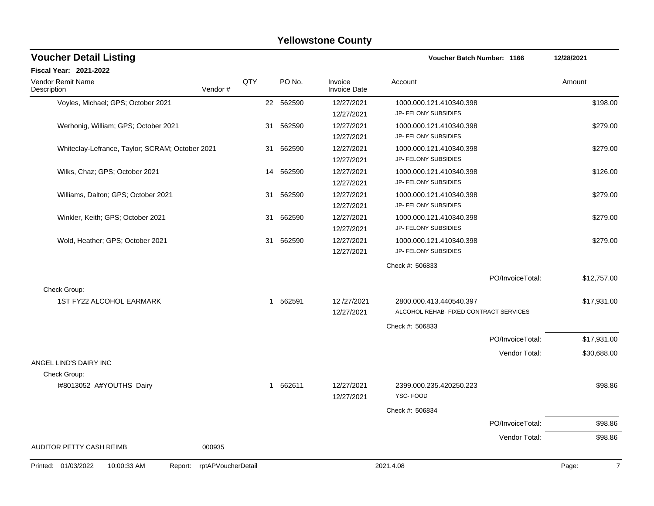| <b>Voucher Detail Listing</b>                   |                    |              |           |                                | Voucher Batch Number: 1166                                        |                  | 12/28/2021              |
|-------------------------------------------------|--------------------|--------------|-----------|--------------------------------|-------------------------------------------------------------------|------------------|-------------------------|
| Fiscal Year: 2021-2022                          |                    |              |           |                                |                                                                   |                  |                         |
| Vendor Remit Name<br>Description<br>Vendor#     | QTY                |              | PO No.    | Invoice<br><b>Invoice Date</b> | Account                                                           |                  | Amount                  |
| Voyles, Michael; GPS; October 2021              |                    |              | 22 562590 | 12/27/2021<br>12/27/2021       | 1000.000.121.410340.398<br>JP- FELONY SUBSIDIES                   |                  | \$198.00                |
| Werhonig, William; GPS; October 2021            |                    | 31           | 562590    | 12/27/2021<br>12/27/2021       | 1000.000.121.410340.398<br>JP- FELONY SUBSIDIES                   |                  | \$279.00                |
| Whiteclay-Lefrance, Taylor; SCRAM; October 2021 |                    | 31           | 562590    | 12/27/2021<br>12/27/2021       | 1000.000.121.410340.398<br>JP- FELONY SUBSIDIES                   |                  | \$279.00                |
| Wilks, Chaz; GPS; October 2021                  |                    | 14           | 562590    | 12/27/2021<br>12/27/2021       | 1000.000.121.410340.398<br>JP- FELONY SUBSIDIES                   |                  | \$126.00                |
| Williams, Dalton; GPS; October 2021             |                    | 31           | 562590    | 12/27/2021<br>12/27/2021       | 1000.000.121.410340.398<br>JP- FELONY SUBSIDIES                   |                  | \$279.00                |
| Winkler, Keith; GPS; October 2021               |                    | 31           | 562590    | 12/27/2021<br>12/27/2021       | 1000.000.121.410340.398<br>JP- FELONY SUBSIDIES                   |                  | \$279.00                |
| Wold, Heather; GPS; October 2021                |                    | 31           | 562590    | 12/27/2021<br>12/27/2021       | 1000.000.121.410340.398<br>JP- FELONY SUBSIDIES                   |                  | \$279.00                |
|                                                 |                    |              |           |                                | Check #: 506833                                                   |                  |                         |
| Check Group:                                    |                    |              |           |                                |                                                                   | PO/InvoiceTotal: | \$12,757.00             |
| <b>1ST FY22 ALCOHOL EARMARK</b>                 |                    | $\mathbf{1}$ | 562591    | 12/27/2021<br>12/27/2021       | 2800.000.413.440540.397<br>ALCOHOL REHAB- FIXED CONTRACT SERVICES |                  | \$17,931.00             |
|                                                 |                    |              |           |                                | Check #: 506833                                                   |                  |                         |
|                                                 |                    |              |           |                                |                                                                   | PO/InvoiceTotal: | \$17,931.00             |
| ANGEL LIND'S DAIRY INC                          |                    |              |           |                                |                                                                   | Vendor Total:    | \$30,688.00             |
| Check Group:                                    |                    |              |           |                                |                                                                   |                  |                         |
| I#8013052 A#YOUTHS Dairy                        |                    | $\mathbf{1}$ | 562611    | 12/27/2021<br>12/27/2021       | 2399.000.235.420250.223<br>YSC-FOOD                               |                  | \$98.86                 |
|                                                 |                    |              |           |                                | Check #: 506834                                                   |                  |                         |
|                                                 |                    |              |           |                                |                                                                   | PO/InvoiceTotal: | \$98.86                 |
| AUDITOR PETTY CASH REIMB<br>000935              |                    |              |           |                                |                                                                   | Vendor Total:    | \$98.86                 |
| Printed: 01/03/2022<br>10:00:33 AM<br>Report:   | rptAPVoucherDetail |              |           |                                | 2021.4.08                                                         |                  | $\overline{7}$<br>Page: |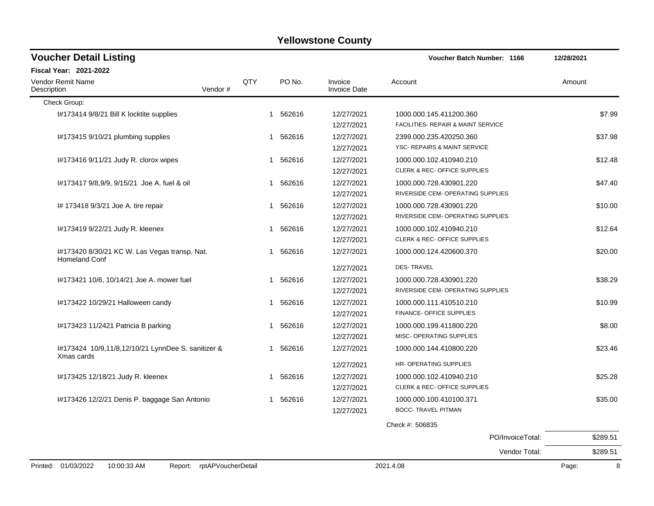| <b>Voucher Detail Listing</b>                                         |         |     |          |                                | <b>Voucher Batch Number: 1166</b>       | 12/28/2021 |
|-----------------------------------------------------------------------|---------|-----|----------|--------------------------------|-----------------------------------------|------------|
| <b>Fiscal Year: 2021-2022</b>                                         |         |     |          |                                |                                         |            |
| <b>Vendor Remit Name</b><br>Description                               | Vendor# | QTY | PO No.   | Invoice<br><b>Invoice Date</b> | Account                                 | Amount     |
| Check Group:                                                          |         |     |          |                                |                                         |            |
| I#173414 9/8/21 Bill K locktite supplies                              |         |     | 1 562616 | 12/27/2021                     | 1000.000.145.411200.360                 | \$7.99     |
|                                                                       |         |     |          | 12/27/2021                     | FACILITIES- REPAIR & MAINT SERVICE      |            |
| I#173415 9/10/21 plumbing supplies                                    |         |     | 1 562616 | 12/27/2021                     | 2399.000.235.420250.360                 | \$37.98    |
|                                                                       |         |     |          | 12/27/2021                     | YSC- REPAIRS & MAINT SERVICE            |            |
| I#173416 9/11/21 Judy R. clorox wipes                                 |         |     | 1 562616 | 12/27/2021                     | 1000.000.102.410940.210                 | \$12.48    |
|                                                                       |         |     |          | 12/27/2021                     | <b>CLERK &amp; REC- OFFICE SUPPLIES</b> |            |
| #173417 9/8,9/9, 9/15/21 Joe A. fuel & oil                            |         |     | 1 562616 | 12/27/2021                     | 1000.000.728.430901.220                 | \$47.40    |
|                                                                       |         |     |          | 12/27/2021                     | RIVERSIDE CEM- OPERATING SUPPLIES       |            |
| I# 173418 9/3/21 Joe A. tire repair                                   |         |     | 1 562616 | 12/27/2021                     | 1000.000.728.430901.220                 | \$10.00    |
|                                                                       |         |     |          | 12/27/2021                     | RIVERSIDE CEM- OPERATING SUPPLIES       |            |
| I#173419 9/22/21 Judy R. kleenex                                      |         |     | 1 562616 | 12/27/2021                     | 1000.000.102.410940.210                 | \$12.64    |
|                                                                       |         |     |          | 12/27/2021                     | <b>CLERK &amp; REC- OFFICE SUPPLIES</b> |            |
| I#173420 8/30/21 KC W. Las Vegas transp. Nat.<br><b>Homeland Conf</b> |         |     | 1 562616 | 12/27/2021                     | 1000.000.124.420600.370                 | \$20.00    |
|                                                                       |         |     |          | 12/27/2021                     | <b>DES-TRAVEL</b>                       |            |
| I#173421 10/6, 10/14/21 Joe A. mower fuel                             |         | 1   | 562616   | 12/27/2021                     | 1000.000.728.430901.220                 | \$38.29    |
|                                                                       |         |     |          | 12/27/2021                     | RIVERSIDE CEM- OPERATING SUPPLIES       |            |
| I#173422 10/29/21 Halloween candy                                     |         |     | 1 562616 | 12/27/2021                     | 1000.000.111.410510.210                 | \$10.99    |
|                                                                       |         |     |          | 12/27/2021                     | FINANCE- OFFICE SUPPLIES                |            |
| I#173423 11/2421 Patricia B parking                                   |         |     | 1 562616 | 12/27/2021                     | 1000.000.199.411800.220                 | \$8.00     |
|                                                                       |         |     |          | 12/27/2021                     | MISC- OPERATING SUPPLIES                |            |
| I#173424 10/9,11/8,12/10/21 LynnDee S. sanitizer &<br>Xmas cards      |         | 1   | 562616   | 12/27/2021                     | 1000.000.144.410800.220                 | \$23.46    |
|                                                                       |         |     |          | 12/27/2021                     | HR- OPERATING SUPPLIES                  |            |
| I#173425 12/18/21 Judy R. kleenex                                     |         |     | 1 562616 | 12/27/2021                     | 1000.000.102.410940.210                 | \$25.28    |
|                                                                       |         |     |          | 12/27/2021                     | <b>CLERK &amp; REC- OFFICE SUPPLIES</b> |            |
| 1#173426 12/2/21 Denis P. baggage San Antonio                         |         |     | 1 562616 | 12/27/2021                     | 1000.000.100.410100.371                 | \$35.00    |
|                                                                       |         |     |          | 12/27/2021                     | <b>BOCC- TRAVEL PITMAN</b>              |            |
|                                                                       |         |     |          |                                | Check #: 506835                         |            |
|                                                                       |         |     |          |                                | PO/InvoiceTotal:                        | \$289.51   |

Vendor Total: \$289.51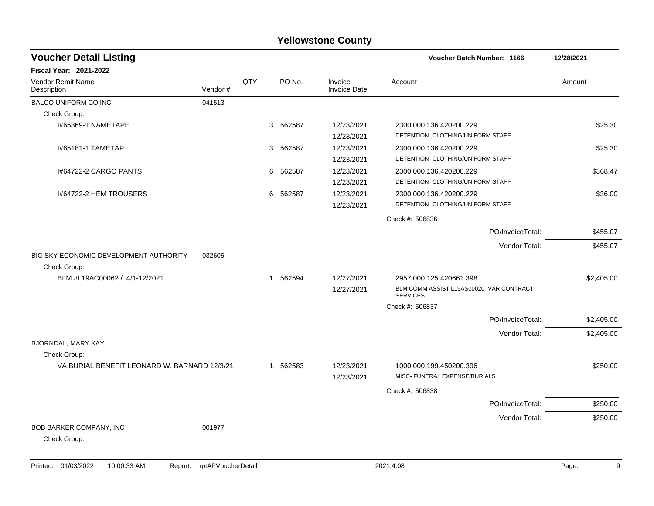| <b>Voucher Detail Listing</b>                |         |     |                        |                                | <b>Voucher Batch Number: 1166</b>                           | 12/28/2021 |
|----------------------------------------------|---------|-----|------------------------|--------------------------------|-------------------------------------------------------------|------------|
| <b>Fiscal Year: 2021-2022</b>                |         |     |                        |                                |                                                             |            |
| <b>Vendor Remit Name</b><br>Description      | Vendor# | QTY | PO No.                 | Invoice<br><b>Invoice Date</b> | Account                                                     | Amount     |
| <b>BALCO UNIFORM CO INC</b>                  | 041513  |     |                        |                                |                                                             |            |
| Check Group:                                 |         |     |                        |                                |                                                             |            |
| I#65369-1 NAMETAPE                           |         |     | 562587<br>3            | 12/23/2021                     | 2300.000.136.420200.229                                     | \$25.30    |
|                                              |         |     |                        | 12/23/2021                     | DETENTION- CLOTHING/UNIFORM STAFF                           |            |
| 1#65181-1 TAMETAP                            |         |     | 3 562587               | 12/23/2021                     | 2300.000.136.420200.229                                     | \$25.30    |
|                                              |         |     |                        | 12/23/2021                     | DETENTION- CLOTHING/UNIFORM STAFF                           |            |
| 1#64722-2 CARGO PANTS                        |         |     | 6<br>562587            | 12/23/2021                     | 2300.000.136.420200.229                                     | \$368.47   |
|                                              |         |     |                        | 12/23/2021                     | DETENTION- CLOTHING/UNIFORM STAFF                           |            |
| 1#64722-2 HEM TROUSERS                       |         |     | 562587<br>6            | 12/23/2021                     | 2300.000.136.420200.229                                     | \$36.00    |
|                                              |         |     |                        | 12/23/2021                     | DETENTION- CLOTHING/UNIFORM STAFF                           |            |
|                                              |         |     |                        |                                | Check #: 506836                                             |            |
|                                              |         |     |                        |                                | PO/InvoiceTotal:                                            | \$455.07   |
|                                              |         |     |                        |                                | Vendor Total:                                               | \$455.07   |
| BIG SKY ECONOMIC DEVELOPMENT AUTHORITY       | 032605  |     |                        |                                |                                                             |            |
| Check Group:                                 |         |     |                        |                                |                                                             |            |
| BLM #L19AC00062 / 4/1-12/2021                |         |     | 562594<br>$\mathbf{1}$ | 12/27/2021                     | 2957.000.125.420661.398                                     | \$2,405.00 |
|                                              |         |     |                        | 12/27/2021                     | BLM COMM ASSIST L19AS00020- VAR CONTRACT<br><b>SERVICES</b> |            |
|                                              |         |     |                        |                                | Check #: 506837                                             |            |
|                                              |         |     |                        |                                | PO/InvoiceTotal:                                            | \$2,405.00 |
|                                              |         |     |                        |                                | Vendor Total:                                               | \$2,405.00 |
| <b>BJORNDAL, MARY KAY</b>                    |         |     |                        |                                |                                                             |            |
| Check Group:                                 |         |     |                        |                                |                                                             |            |
| VA BURIAL BENEFIT LEONARD W. BARNARD 12/3/21 |         |     | 1 562583               | 12/23/2021                     | 1000.000.199.450200.396                                     | \$250.00   |
|                                              |         |     |                        | 12/23/2021                     | MISC- FUNERAL EXPENSE/BURIALS                               |            |
|                                              |         |     |                        |                                | Check #: 506838                                             |            |
|                                              |         |     |                        |                                | PO/InvoiceTotal:                                            | \$250.00   |
|                                              |         |     |                        |                                | Vendor Total:                                               | \$250.00   |
| BOB BARKER COMPANY, INC                      | 001977  |     |                        |                                |                                                             |            |
| Check Group:                                 |         |     |                        |                                |                                                             |            |
|                                              |         |     |                        |                                |                                                             |            |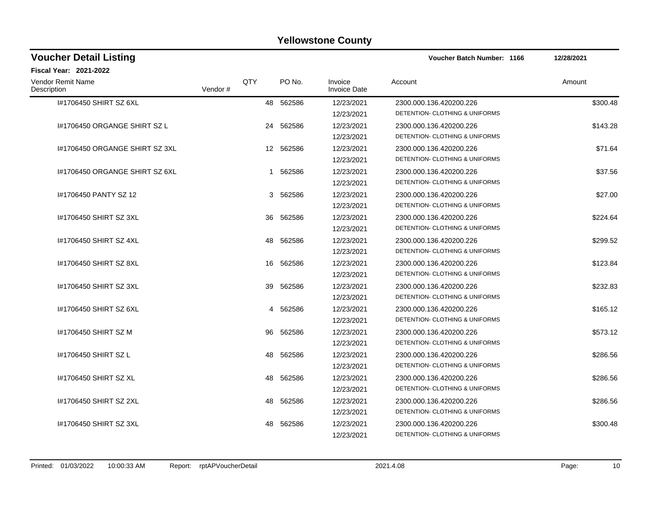| <b>Voucher Detail Listing</b>    |         |     |           |                                | <b>Voucher Batch Number: 1166</b>                                    | 12/28/2021 |
|----------------------------------|---------|-----|-----------|--------------------------------|----------------------------------------------------------------------|------------|
| Fiscal Year: 2021-2022           |         |     |           |                                |                                                                      |            |
| Vendor Remit Name<br>Description | Vendor# | QTY | PO No.    | Invoice<br><b>Invoice Date</b> | Account                                                              | Amount     |
| I#1706450 SHIRT SZ 6XL           |         |     | 48 562586 | 12/23/2021<br>12/23/2021       | 2300.000.136.420200.226<br>DETENTION- CLOTHING & UNIFORMS            | \$300.48   |
| 1#1706450 ORGANGE SHIRT SZ L     |         |     | 24 562586 | 12/23/2021<br>12/23/2021       | 2300.000.136.420200.226<br>DETENTION- CLOTHING & UNIFORMS            | \$143.28   |
| 1#1706450 ORGANGE SHIRT SZ 3XL   |         |     | 12 562586 | 12/23/2021<br>12/23/2021       | 2300.000.136.420200.226<br><b>DETENTION- CLOTHING &amp; UNIFORMS</b> | \$71.64    |
| 1#1706450 ORGANGE SHIRT SZ 6XL   |         |     | 1 562586  | 12/23/2021<br>12/23/2021       | 2300.000.136.420200.226<br>DETENTION- CLOTHING & UNIFORMS            | \$37.56    |
| #1706450 PANTY SZ 12             |         |     | 3 562586  | 12/23/2021<br>12/23/2021       | 2300.000.136.420200.226<br>DETENTION- CLOTHING & UNIFORMS            | \$27.00    |
| #1706450 SHIRT SZ 3XL            |         | 36  | 562586    | 12/23/2021<br>12/23/2021       | 2300.000.136.420200.226<br>DETENTION- CLOTHING & UNIFORMS            | \$224.64   |
| #1706450 SHIRT SZ 4XL            |         |     | 48 562586 | 12/23/2021<br>12/23/2021       | 2300.000.136.420200.226<br><b>DETENTION- CLOTHING &amp; UNIFORMS</b> | \$299.52   |
| #1706450 SHIRT SZ 8XL            |         | 16  | 562586    | 12/23/2021<br>12/23/2021       | 2300.000.136.420200.226<br>DETENTION- CLOTHING & UNIFORMS            | \$123.84   |
| 1#1706450 SHIRT SZ 3XL           |         |     | 39 562586 | 12/23/2021<br>12/23/2021       | 2300.000.136.420200.226<br>DETENTION- CLOTHING & UNIFORMS            | \$232.83   |
| 1#1706450 SHIRT SZ 6XL           |         | 4   | 562586    | 12/23/2021<br>12/23/2021       | 2300.000.136.420200.226<br>DETENTION- CLOTHING & UNIFORMS            | \$165.12   |
| 1#1706450 SHIRT SZ M             |         | 96  | 562586    | 12/23/2021<br>12/23/2021       | 2300.000.136.420200.226<br>DETENTION- CLOTHING & UNIFORMS            | \$573.12   |
| 1#1706450 SHIRT SZ L             |         | 48  | 562586    | 12/23/2021<br>12/23/2021       | 2300.000.136.420200.226<br><b>DETENTION- CLOTHING &amp; UNIFORMS</b> | \$286.56   |
| 1#1706450 SHIRT SZ XL            |         | 48  | 562586    | 12/23/2021<br>12/23/2021       | 2300.000.136.420200.226<br>DETENTION- CLOTHING & UNIFORMS            | \$286.56   |
| 1#1706450 SHIRT SZ 2XL           |         | 48  | 562586    | 12/23/2021<br>12/23/2021       | 2300.000.136.420200.226<br>DETENTION- CLOTHING & UNIFORMS            | \$286.56   |
| #1706450 SHIRT SZ 3XL            |         | 48  | 562586    | 12/23/2021<br>12/23/2021       | 2300.000.136.420200.226<br>DETENTION- CLOTHING & UNIFORMS            | \$300.48   |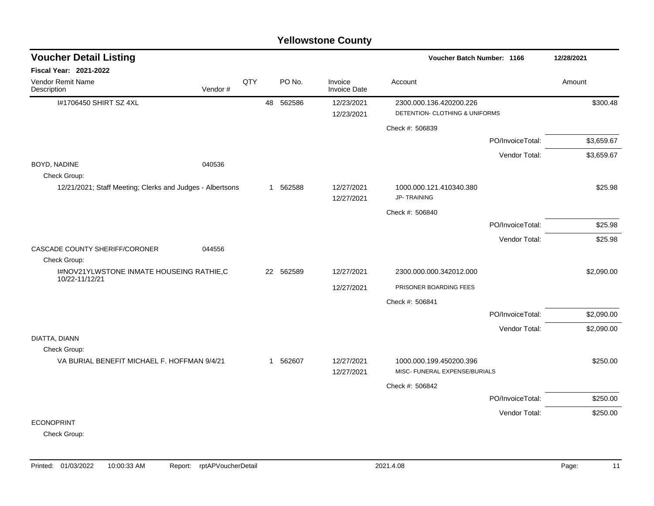| <b>Voucher Detail Listing</b>                              |         |     |              |           |                                | Voucher Batch Number: 1166                               |                  | 12/28/2021 |
|------------------------------------------------------------|---------|-----|--------------|-----------|--------------------------------|----------------------------------------------------------|------------------|------------|
| Fiscal Year: 2021-2022                                     |         |     |              |           |                                |                                                          |                  |            |
| Vendor Remit Name<br>Description                           | Vendor# | QTY |              | PO No.    | Invoice<br><b>Invoice Date</b> | Account                                                  |                  | Amount     |
| I#1706450 SHIRT SZ 4XL                                     |         |     | 48           | 562586    | 12/23/2021                     | 2300.000.136.420200.226                                  |                  | \$300.48   |
|                                                            |         |     |              |           | 12/23/2021                     | DETENTION- CLOTHING & UNIFORMS                           |                  |            |
|                                                            |         |     |              |           |                                | Check #: 506839                                          |                  |            |
|                                                            |         |     |              |           |                                |                                                          | PO/InvoiceTotal: | \$3,659.67 |
|                                                            |         |     |              |           |                                |                                                          | Vendor Total:    | \$3,659.67 |
| BOYD, NADINE                                               | 040536  |     |              |           |                                |                                                          |                  |            |
| Check Group:                                               |         |     |              |           |                                |                                                          |                  |            |
| 12/21/2021; Staff Meeting; Clerks and Judges - Albertsons  |         |     |              | 1 562588  | 12/27/2021                     | 1000.000.121.410340.380<br><b>JP-TRAINING</b>            |                  | \$25.98    |
|                                                            |         |     |              |           | 12/27/2021                     |                                                          |                  |            |
|                                                            |         |     |              |           |                                | Check #: 506840                                          |                  |            |
|                                                            |         |     |              |           |                                |                                                          | PO/InvoiceTotal: | \$25.98    |
|                                                            |         |     |              |           |                                |                                                          | Vendor Total:    | \$25.98    |
| CASCADE COUNTY SHERIFF/CORONER                             | 044556  |     |              |           |                                |                                                          |                  |            |
| Check Group:                                               |         |     |              |           |                                |                                                          |                  |            |
| I#NOV21YLWSTONE INMATE HOUSEING RATHIE,C<br>10/22-11/12/21 |         |     |              | 22 562589 | 12/27/2021                     | 2300.000.000.342012.000                                  |                  | \$2,090.00 |
|                                                            |         |     |              |           | 12/27/2021                     | PRISONER BOARDING FEES                                   |                  |            |
|                                                            |         |     |              |           |                                | Check #: 506841                                          |                  |            |
|                                                            |         |     |              |           |                                |                                                          | PO/InvoiceTotal: | \$2,090.00 |
|                                                            |         |     |              |           |                                |                                                          | Vendor Total:    | \$2,090.00 |
| DIATTA, DIANN                                              |         |     |              |           |                                |                                                          |                  |            |
| Check Group:                                               |         |     |              |           |                                |                                                          |                  |            |
| VA BURIAL BENEFIT MICHAEL F. HOFFMAN 9/4/21                |         |     | $\mathbf{1}$ | 562607    | 12/27/2021                     | 1000.000.199.450200.396<br>MISC- FUNERAL EXPENSE/BURIALS |                  | \$250.00   |
|                                                            |         |     |              |           | 12/27/2021                     |                                                          |                  |            |
|                                                            |         |     |              |           |                                | Check #: 506842                                          |                  |            |
|                                                            |         |     |              |           |                                |                                                          | PO/InvoiceTotal: | \$250.00   |
|                                                            |         |     |              |           |                                |                                                          | Vendor Total:    | \$250.00   |
| <b>ECONOPRINT</b>                                          |         |     |              |           |                                |                                                          |                  |            |
| Check Group:                                               |         |     |              |           |                                |                                                          |                  |            |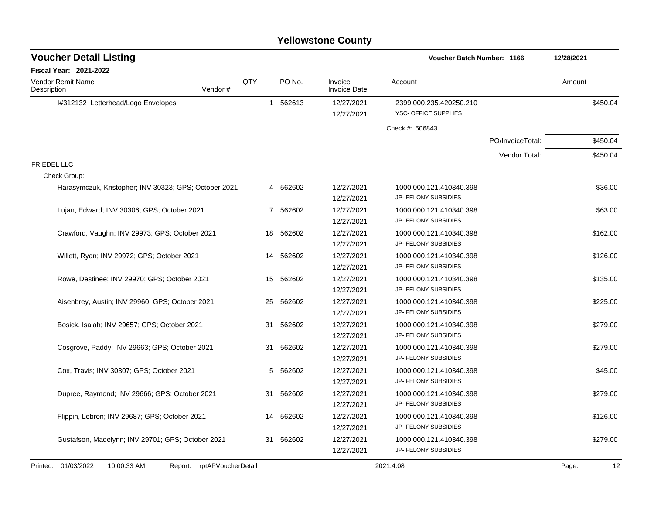| <b>Voucher Detail Listing</b>                         |                    |     |           |                                | <b>Voucher Batch Number: 1166</b>               |                  | 12/28/2021  |  |
|-------------------------------------------------------|--------------------|-----|-----------|--------------------------------|-------------------------------------------------|------------------|-------------|--|
| Fiscal Year: 2021-2022                                |                    |     |           |                                |                                                 |                  |             |  |
| <b>Vendor Remit Name</b><br>Description               | Vendor#            | QTY | PO No.    | Invoice<br><b>Invoice Date</b> | Account                                         |                  | Amount      |  |
| I#312132 Letterhead/Logo Envelopes                    |                    |     | 1 562613  | 12/27/2021                     | 2399.000.235.420250.210                         |                  | \$450.04    |  |
|                                                       |                    |     |           | 12/27/2021                     | YSC- OFFICE SUPPLIES                            |                  |             |  |
|                                                       |                    |     |           |                                | Check #: 506843                                 |                  |             |  |
|                                                       |                    |     |           |                                |                                                 | PO/InvoiceTotal: | \$450.04    |  |
|                                                       |                    |     |           |                                |                                                 | Vendor Total:    | \$450.04    |  |
| <b>FRIEDEL LLC</b>                                    |                    |     |           |                                |                                                 |                  |             |  |
| Check Group:                                          |                    |     |           |                                |                                                 |                  |             |  |
| Harasymczuk, Kristopher; INV 30323; GPS; October 2021 |                    |     | 4 562602  | 12/27/2021                     | 1000.000.121.410340.398                         |                  | \$36.00     |  |
|                                                       |                    |     |           | 12/27/2021                     | JP- FELONY SUBSIDIES                            |                  |             |  |
| Lujan, Edward; INV 30306; GPS; October 2021           |                    |     | 7 562602  | 12/27/2021                     | 1000.000.121.410340.398                         |                  | \$63.00     |  |
|                                                       |                    |     |           | 12/27/2021                     | JP- FELONY SUBSIDIES                            |                  |             |  |
| Crawford, Vaughn; INV 29973; GPS; October 2021        |                    |     | 18 562602 | 12/27/2021                     | 1000.000.121.410340.398                         |                  | \$162.00    |  |
|                                                       |                    |     |           | 12/27/2021                     | JP- FELONY SUBSIDIES                            |                  |             |  |
| Willett, Ryan; INV 29972; GPS; October 2021           |                    | 14  | 562602    | 12/27/2021                     | 1000.000.121.410340.398                         |                  | \$126.00    |  |
|                                                       |                    |     |           | 12/27/2021                     | JP- FELONY SUBSIDIES                            |                  |             |  |
| Rowe, Destinee; INV 29970; GPS; October 2021          |                    | 15  | 562602    | 12/27/2021                     | 1000.000.121.410340.398                         |                  | \$135.00    |  |
|                                                       |                    |     |           | 12/27/2021                     | JP- FELONY SUBSIDIES                            |                  |             |  |
| Aisenbrey, Austin; INV 29960; GPS; October 2021       |                    | 25  | 562602    | 12/27/2021                     | 1000.000.121.410340.398                         |                  | \$225.00    |  |
|                                                       |                    |     |           | 12/27/2021                     | JP- FELONY SUBSIDIES                            |                  |             |  |
| Bosick, Isaiah; INV 29657; GPS; October 2021          |                    | 31  | 562602    | 12/27/2021                     | 1000.000.121.410340.398                         |                  | \$279.00    |  |
|                                                       |                    |     |           | 12/27/2021                     | JP- FELONY SUBSIDIES                            |                  |             |  |
| Cosgrove, Paddy; INV 29663; GPS; October 2021         |                    | 31  | 562602    | 12/27/2021                     | 1000.000.121.410340.398                         |                  | \$279.00    |  |
|                                                       |                    |     |           | 12/27/2021                     | JP- FELONY SUBSIDIES                            |                  |             |  |
| Cox, Travis; INV 30307; GPS; October 2021             |                    | 5   | 562602    | 12/27/2021                     | 1000.000.121.410340.398<br>JP- FELONY SUBSIDIES |                  | \$45.00     |  |
|                                                       |                    |     |           | 12/27/2021                     |                                                 |                  |             |  |
| Dupree, Raymond; INV 29666; GPS; October 2021         |                    | 31  | 562602    | 12/27/2021<br>12/27/2021       | 1000.000.121.410340.398<br>JP- FELONY SUBSIDIES |                  | \$279.00    |  |
|                                                       |                    |     |           |                                |                                                 |                  |             |  |
| Flippin, Lebron; INV 29687; GPS; October 2021         |                    | 14  | 562602    | 12/27/2021<br>12/27/2021       | 1000.000.121.410340.398<br>JP- FELONY SUBSIDIES |                  | \$126.00    |  |
| Gustafson, Madelynn; INV 29701; GPS; October 2021     |                    |     | 31 562602 | 12/27/2021                     | 1000.000.121.410340.398                         |                  | \$279.00    |  |
|                                                       |                    |     |           | 12/27/2021                     | JP- FELONY SUBSIDIES                            |                  |             |  |
|                                                       |                    |     |           |                                |                                                 |                  |             |  |
| Printed: 01/03/2022<br>10:00:33 AM<br>Report:         | rptAPVoucherDetail |     |           |                                | 2021.4.08                                       |                  | Page:<br>12 |  |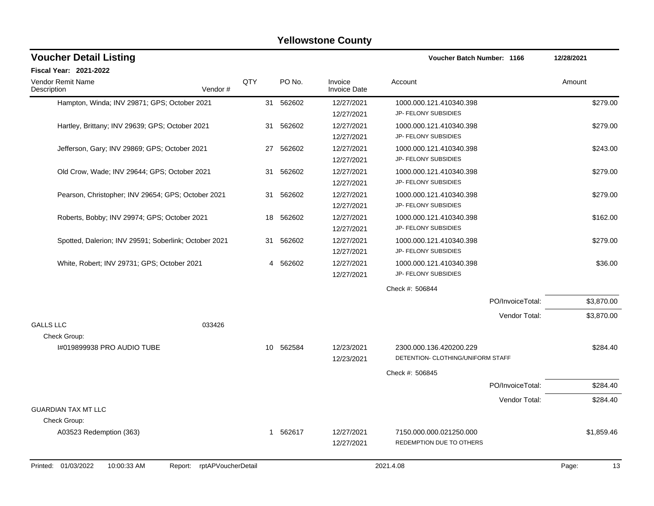| <b>Voucher Detail Listing</b>                         |                    |    |           |                                | Voucher Batch Number: 1166                                   |                  | 12/28/2021 |            |
|-------------------------------------------------------|--------------------|----|-----------|--------------------------------|--------------------------------------------------------------|------------------|------------|------------|
| Fiscal Year: 2021-2022                                |                    |    |           |                                |                                                              |                  |            |            |
| Vendor Remit Name<br>Description                      | QTY<br>Vendor#     |    | PO No.    | Invoice<br><b>Invoice Date</b> | Account                                                      |                  | Amount     |            |
| Hampton, Winda; INV 29871; GPS; October 2021          |                    |    | 31 562602 | 12/27/2021<br>12/27/2021       | 1000.000.121.410340.398<br>JP- FELONY SUBSIDIES              |                  |            | \$279.00   |
| Hartley, Brittany; INV 29639; GPS; October 2021       |                    | 31 | 562602    | 12/27/2021<br>12/27/2021       | 1000.000.121.410340.398<br>JP- FELONY SUBSIDIES              |                  |            | \$279.00   |
| Jefferson, Gary; INV 29869; GPS; October 2021         |                    | 27 | 562602    | 12/27/2021<br>12/27/2021       | 1000.000.121.410340.398<br>JP- FELONY SUBSIDIES              |                  |            | \$243.00   |
| Old Crow, Wade; INV 29644; GPS; October 2021          |                    | 31 | 562602    | 12/27/2021<br>12/27/2021       | 1000.000.121.410340.398<br>JP- FELONY SUBSIDIES              |                  |            | \$279.00   |
| Pearson, Christopher; INV 29654; GPS; October 2021    |                    | 31 | 562602    | 12/27/2021<br>12/27/2021       | 1000.000.121.410340.398<br>JP- FELONY SUBSIDIES              |                  |            | \$279.00   |
| Roberts, Bobby; INV 29974; GPS; October 2021          |                    | 18 | 562602    | 12/27/2021<br>12/27/2021       | 1000.000.121.410340.398<br>JP- FELONY SUBSIDIES              |                  |            | \$162.00   |
| Spotted, Dalerion; INV 29591; Soberlink; October 2021 |                    | 31 | 562602    | 12/27/2021<br>12/27/2021       | 1000.000.121.410340.398<br>JP- FELONY SUBSIDIES              |                  |            | \$279.00   |
| White, Robert; INV 29731; GPS; October 2021           |                    | 4  | 562602    | 12/27/2021<br>12/27/2021       | 1000.000.121.410340.398<br>JP- FELONY SUBSIDIES              |                  |            | \$36.00    |
|                                                       |                    |    |           |                                | Check #: 506844                                              |                  |            |            |
|                                                       |                    |    |           |                                |                                                              | PO/InvoiceTotal: |            | \$3,870.00 |
| <b>GALLS LLC</b><br>033426                            |                    |    |           |                                |                                                              | Vendor Total:    |            | \$3,870.00 |
| Check Group:<br>1#019899938 PRO AUDIO TUBE            |                    | 10 | 562584    | 12/23/2021<br>12/23/2021       | 2300.000.136.420200.229<br>DETENTION- CLOTHING/UNIFORM STAFF |                  |            | \$284.40   |
|                                                       |                    |    |           |                                | Check #: 506845                                              |                  |            |            |
|                                                       |                    |    |           |                                |                                                              | PO/InvoiceTotal: |            | \$284.40   |
|                                                       |                    |    |           |                                |                                                              | Vendor Total:    |            | \$284.40   |
| <b>GUARDIAN TAX MT LLC</b><br>Check Group:            |                    |    |           |                                |                                                              |                  |            |            |
| A03523 Redemption (363)                               |                    | 1  | 562617    | 12/27/2021<br>12/27/2021       | 7150.000.000.021250.000<br>REDEMPTION DUE TO OTHERS          |                  |            | \$1,859.46 |
| Printed: 01/03/2022<br>10:00:33 AM<br>Report:         | rptAPVoucherDetail |    |           |                                | 2021.4.08                                                    |                  | Page:      | 13         |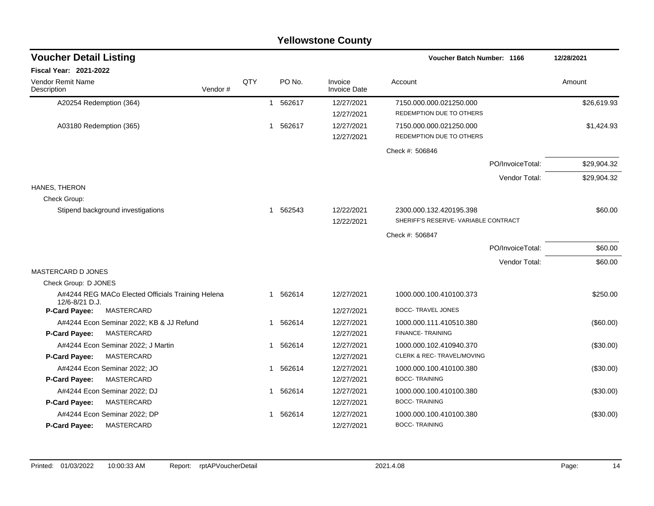|                                                                     |         |     |              |          | <b>Yellowstone County</b>      |                                     |             |
|---------------------------------------------------------------------|---------|-----|--------------|----------|--------------------------------|-------------------------------------|-------------|
| <b>Voucher Detail Listing</b>                                       |         |     |              |          |                                | <b>Voucher Batch Number: 1166</b>   | 12/28/2021  |
| Fiscal Year: 2021-2022                                              |         |     |              |          |                                |                                     |             |
| Vendor Remit Name<br>Description                                    | Vendor# | QTY |              | PO No.   | Invoice<br><b>Invoice Date</b> | Account                             | Amount      |
| A20254 Redemption (364)                                             |         |     |              | 1 562617 | 12/27/2021                     | 7150.000.000.021250.000             | \$26,619.93 |
|                                                                     |         |     |              |          | 12/27/2021                     | REDEMPTION DUE TO OTHERS            |             |
| A03180 Redemption (365)                                             |         |     | $\mathbf{1}$ | 562617   | 12/27/2021                     | 7150.000.000.021250.000             | \$1,424.93  |
|                                                                     |         |     |              |          | 12/27/2021                     | REDEMPTION DUE TO OTHERS            |             |
|                                                                     |         |     |              |          |                                | Check #: 506846                     |             |
|                                                                     |         |     |              |          |                                | PO/InvoiceTotal:                    | \$29,904.32 |
|                                                                     |         |     |              |          |                                | Vendor Total:                       | \$29,904.32 |
| HANES, THERON                                                       |         |     |              |          |                                |                                     |             |
| Check Group:                                                        |         |     |              |          |                                |                                     |             |
| Stipend background investigations                                   |         |     |              | 1 562543 | 12/22/2021                     | 2300.000.132.420195.398             | \$60.00     |
|                                                                     |         |     |              |          | 12/22/2021                     | SHERIFF'S RESERVE-VARIABLE CONTRACT |             |
|                                                                     |         |     |              |          |                                | Check #: 506847                     |             |
|                                                                     |         |     |              |          |                                | PO/InvoiceTotal:                    | \$60.00     |
|                                                                     |         |     |              |          |                                | Vendor Total:                       | \$60.00     |
| <b>MASTERCARD D JONES</b>                                           |         |     |              |          |                                |                                     |             |
| Check Group: D JONES                                                |         |     |              |          |                                |                                     |             |
| A#4244 REG MACo Elected Officials Training Helena<br>12/6-8/21 D.J. |         |     |              | 1 562614 | 12/27/2021                     | 1000.000.100.410100.373             | \$250.00    |
| <b>P-Card Payee:</b><br>MASTERCARD                                  |         |     |              |          | 12/27/2021                     | <b>BOCC- TRAVEL JONES</b>           |             |
| A#4244 Econ Seminar 2022; KB & JJ Refund                            |         |     |              | 1 562614 | 12/27/2021                     | 1000.000.111.410510.380             | $(\$60.00)$ |
| <b>P-Card Payee:</b><br>MASTERCARD                                  |         |     |              |          | 12/27/2021                     | FINANCE-TRAINING                    |             |
| A#4244 Econ Seminar 2022; J Martin                                  |         |     |              | 1 562614 | 12/27/2021                     | 1000.000.102.410940.370             | (\$30.00)   |
| <b>P-Card Payee:</b><br>MASTERCARD                                  |         |     |              |          | 12/27/2021                     | CLERK & REC- TRAVEL/MOVING          |             |
| A#4244 Econ Seminar 2022; JO                                        |         |     | $\mathbf 1$  | 562614   | 12/27/2021                     | 1000.000.100.410100.380             | (\$30.00)   |
| P-Card Payee:<br>MASTERCARD                                         |         |     |              |          | 12/27/2021                     | <b>BOCC-TRAINING</b>                |             |
| A#4244 Econ Seminar 2022; DJ                                        |         |     |              | 1 562614 | 12/27/2021                     | 1000.000.100.410100.380             | (\$30.00)   |
| P-Card Payee:<br>MASTERCARD                                         |         |     |              |          | 12/27/2021                     | <b>BOCC-TRAINING</b>                |             |
| A#4244 Econ Seminar 2022; DP                                        |         |     |              | 562614   | 12/27/2021                     | 1000.000.100.410100.380             | (\$30.00)   |
| MASTERCARD<br>P-Card Payee:                                         |         |     |              |          | 12/27/2021                     | <b>BOCC-TRAINING</b>                |             |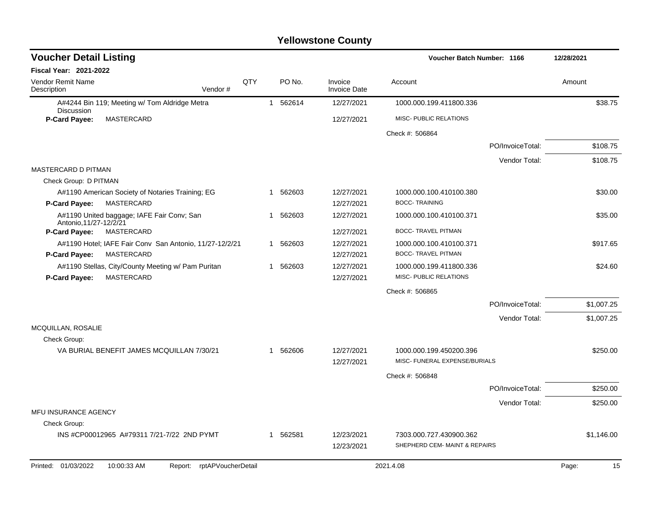| <b>Voucher Detail Listing</b>                                           |     |   |          |                                |                                                          | <b>Voucher Batch Number: 1166</b> |             |  |  |
|-------------------------------------------------------------------------|-----|---|----------|--------------------------------|----------------------------------------------------------|-----------------------------------|-------------|--|--|
| <b>Fiscal Year: 2021-2022</b>                                           |     |   |          |                                |                                                          |                                   |             |  |  |
| <b>Vendor Remit Name</b><br>Description<br>Vendor#                      | QTY |   | PO No.   | Invoice<br><b>Invoice Date</b> | Account                                                  |                                   | Amount      |  |  |
| A#4244 Bin 119; Meeting w/ Tom Aldridge Metra<br><b>Discussion</b>      |     |   | 1 562614 | 12/27/2021                     | 1000.000.199.411800.336                                  |                                   | \$38.75     |  |  |
| P-Card Payee:<br><b>MASTERCARD</b>                                      |     |   |          | 12/27/2021                     | MISC- PUBLIC RELATIONS                                   |                                   |             |  |  |
|                                                                         |     |   |          |                                | Check #: 506864                                          |                                   |             |  |  |
|                                                                         |     |   |          |                                |                                                          | PO/InvoiceTotal:                  | \$108.75    |  |  |
|                                                                         |     |   |          |                                |                                                          | Vendor Total:                     | \$108.75    |  |  |
| MASTERCARD D PITMAN                                                     |     |   |          |                                |                                                          |                                   |             |  |  |
| Check Group: D PITMAN                                                   |     |   |          |                                |                                                          |                                   |             |  |  |
| A#1190 American Society of Notaries Training; EG                        |     | 1 | 562603   | 12/27/2021                     | 1000.000.100.410100.380                                  |                                   | \$30.00     |  |  |
| P-Card Payee:<br>MASTERCARD                                             |     |   |          | 12/27/2021                     | <b>BOCC-TRAINING</b>                                     |                                   |             |  |  |
| A#1190 United baggage; IAFE Fair Conv; San<br>Antonio, 11/27-12/2/21    |     | 1 | 562603   | 12/27/2021                     | 1000.000.100.410100.371                                  |                                   | \$35.00     |  |  |
| MASTERCARD<br>P-Card Payee:                                             |     |   |          | 12/27/2021                     | <b>BOCC- TRAVEL PITMAN</b>                               |                                   |             |  |  |
| A#1190 Hotel; IAFE Fair Conv San Antonio, 11/27-12/2/21                 |     | 1 | 562603   | 12/27/2021                     | 1000.000.100.410100.371                                  |                                   | \$917.65    |  |  |
| MASTERCARD<br><b>P-Card Payee:</b>                                      |     |   |          | 12/27/2021                     | <b>BOCC- TRAVEL PITMAN</b>                               |                                   |             |  |  |
| A#1190 Stellas, City/County Meeting w/ Pam Puritan<br><b>MASTERCARD</b> |     | 1 | 562603   | 12/27/2021                     | 1000.000.199.411800.336<br>MISC- PUBLIC RELATIONS        |                                   | \$24.60     |  |  |
| P-Card Payee:                                                           |     |   |          | 12/27/2021                     |                                                          |                                   |             |  |  |
|                                                                         |     |   |          |                                | Check #: 506865                                          |                                   |             |  |  |
|                                                                         |     |   |          |                                |                                                          | PO/InvoiceTotal:                  | \$1,007.25  |  |  |
|                                                                         |     |   |          |                                |                                                          | Vendor Total:                     | \$1,007.25  |  |  |
| MCQUILLAN, ROSALIE<br>Check Group:                                      |     |   |          |                                |                                                          |                                   |             |  |  |
| VA BURIAL BENEFIT JAMES MCQUILLAN 7/30/21                               |     | 1 | 562606   | 12/27/2021                     | 1000.000.199.450200.396                                  |                                   | \$250.00    |  |  |
|                                                                         |     |   |          | 12/27/2021                     | MISC- FUNERAL EXPENSE/BURIALS                            |                                   |             |  |  |
|                                                                         |     |   |          |                                |                                                          |                                   |             |  |  |
|                                                                         |     |   |          |                                | Check #: 506848                                          |                                   |             |  |  |
|                                                                         |     |   |          |                                |                                                          | PO/InvoiceTotal:                  | \$250.00    |  |  |
|                                                                         |     |   |          |                                |                                                          | Vendor Total:                     | \$250.00    |  |  |
| MFU INSURANCE AGENCY                                                    |     |   |          |                                |                                                          |                                   |             |  |  |
| Check Group:                                                            |     |   |          |                                |                                                          |                                   |             |  |  |
| INS #CP00012965 A#79311 7/21-7/22 2ND PYMT                              |     | 1 | 562581   | 12/23/2021<br>12/23/2021       | 7303.000.727.430900.362<br>SHEPHERD CEM- MAINT & REPAIRS |                                   | \$1,146.00  |  |  |
|                                                                         |     |   |          |                                |                                                          |                                   |             |  |  |
| Printed: 01/03/2022<br>10:00:33 AM<br>Report: rptAPVoucherDetail        |     |   |          |                                | 2021.4.08                                                |                                   | 15<br>Page: |  |  |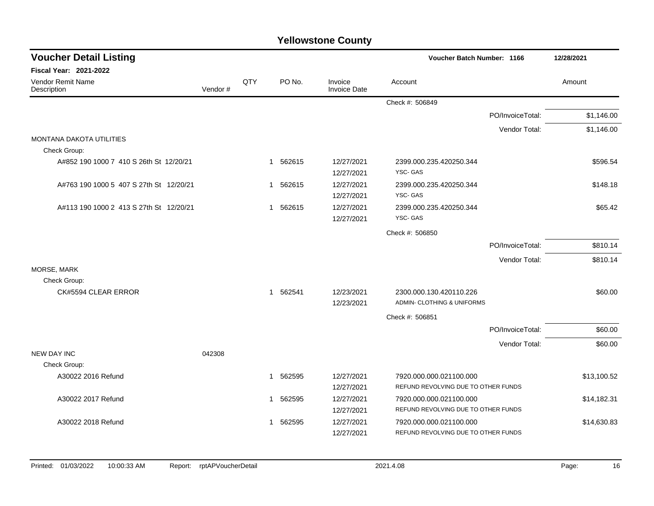| <b>Voucher Detail Listing</b>           |         |     |                        |                          |                                     | Voucher Batch Number: 1166 |             |  |  |
|-----------------------------------------|---------|-----|------------------------|--------------------------|-------------------------------------|----------------------------|-------------|--|--|
| <b>Fiscal Year: 2021-2022</b>           |         |     |                        |                          |                                     |                            |             |  |  |
| Vendor Remit Name<br>Description        | Vendor# | QTY | PO No.                 | Invoice<br>Invoice Date  | Account                             |                            | Amount      |  |  |
|                                         |         |     |                        |                          | Check #: 506849                     |                            |             |  |  |
|                                         |         |     |                        |                          |                                     | PO/InvoiceTotal:           | \$1,146.00  |  |  |
|                                         |         |     |                        |                          |                                     | Vendor Total:              | \$1,146.00  |  |  |
| <b>MONTANA DAKOTA UTILITIES</b>         |         |     |                        |                          |                                     |                            |             |  |  |
| Check Group:                            |         |     |                        |                          |                                     |                            |             |  |  |
| A#852 190 1000 7 410 S 26th St 12/20/21 |         |     | 1 562615               | 12/27/2021<br>12/27/2021 | 2399.000.235.420250.344<br>YSC-GAS  |                            | \$596.54    |  |  |
| A#763 190 1000 5 407 S 27th St 12/20/21 |         |     | 562615<br>$\mathbf{1}$ | 12/27/2021               | 2399.000.235.420250.344             |                            | \$148.18    |  |  |
|                                         |         |     |                        | 12/27/2021               | YSC-GAS                             |                            |             |  |  |
| A#113 190 1000 2 413 S 27th St 12/20/21 |         |     | 562615<br>$\mathbf 1$  | 12/27/2021               | 2399.000.235.420250.344             |                            | \$65.42     |  |  |
|                                         |         |     |                        | 12/27/2021               | YSC-GAS                             |                            |             |  |  |
|                                         |         |     |                        |                          | Check #: 506850                     |                            |             |  |  |
|                                         |         |     |                        |                          |                                     | PO/InvoiceTotal:           | \$810.14    |  |  |
|                                         |         |     |                        |                          |                                     | Vendor Total:              | \$810.14    |  |  |
| MORSE, MARK                             |         |     |                        |                          |                                     |                            |             |  |  |
| Check Group:                            |         |     |                        |                          |                                     |                            |             |  |  |
| CK#5594 CLEAR ERROR                     |         |     | 562541<br>$\mathbf{1}$ | 12/23/2021               | 2300.000.130.420110.226             |                            | \$60.00     |  |  |
|                                         |         |     |                        | 12/23/2021               | ADMIN- CLOTHING & UNIFORMS          |                            |             |  |  |
|                                         |         |     |                        |                          | Check #: 506851                     |                            |             |  |  |
|                                         |         |     |                        |                          |                                     | PO/InvoiceTotal:           | \$60.00     |  |  |
|                                         |         |     |                        |                          |                                     | Vendor Total:              | \$60.00     |  |  |
| <b>NEW DAY INC</b>                      | 042308  |     |                        |                          |                                     |                            |             |  |  |
| Check Group:                            |         |     |                        |                          |                                     |                            |             |  |  |
| A30022 2016 Refund                      |         |     | 562595<br>-1           | 12/27/2021               | 7920.000.000.021100.000             |                            | \$13,100.52 |  |  |
|                                         |         |     |                        | 12/27/2021               | REFUND REVOLVING DUE TO OTHER FUNDS |                            |             |  |  |
| A30022 2017 Refund                      |         |     | 1 562595               | 12/27/2021               | 7920.000.000.021100.000             |                            | \$14,182.31 |  |  |
|                                         |         |     |                        | 12/27/2021               | REFUND REVOLVING DUE TO OTHER FUNDS |                            |             |  |  |
| A30022 2018 Refund                      |         |     | 562595<br>1            | 12/27/2021               | 7920.000.000.021100.000             |                            | \$14,630.83 |  |  |
|                                         |         |     |                        | 12/27/2021               | REFUND REVOLVING DUE TO OTHER FUNDS |                            |             |  |  |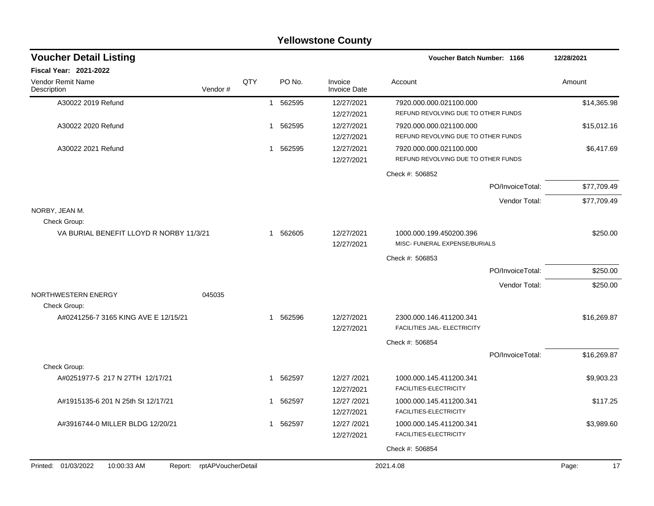|                                         |                               |                |                        | <b>Yellowstone County</b>      |                                                          |                  |             |
|-----------------------------------------|-------------------------------|----------------|------------------------|--------------------------------|----------------------------------------------------------|------------------|-------------|
| <b>Voucher Detail Listing</b>           |                               |                |                        |                                | <b>Voucher Batch Number: 1166</b>                        |                  | 12/28/2021  |
| Fiscal Year: 2021-2022                  |                               |                |                        |                                |                                                          |                  |             |
| Vendor Remit Name<br>Description        | Vendor#                       | QTY            | PO No.                 | Invoice<br><b>Invoice Date</b> | Account                                                  |                  | Amount      |
| A30022 2019 Refund                      |                               | $\mathbf{1}$   | 562595                 | 12/27/2021                     | 7920.000.000.021100.000                                  |                  | \$14,365.98 |
|                                         |                               |                |                        | 12/27/2021                     | REFUND REVOLVING DUE TO OTHER FUNDS                      |                  |             |
| A30022 2020 Refund                      |                               |                | 562595<br>$\mathbf{1}$ | 12/27/2021                     | 7920.000.000.021100.000                                  |                  | \$15,012.16 |
|                                         |                               |                |                        | 12/27/2021                     | REFUND REVOLVING DUE TO OTHER FUNDS                      |                  |             |
| A30022 2021 Refund                      |                               |                | 562595<br>1            | 12/27/2021                     | 7920.000.000.021100.000                                  |                  | \$6,417.69  |
|                                         |                               |                |                        | 12/27/2021                     | REFUND REVOLVING DUE TO OTHER FUNDS                      |                  |             |
|                                         |                               |                |                        |                                | Check #: 506852                                          |                  |             |
|                                         |                               |                |                        |                                |                                                          | PO/InvoiceTotal: | \$77,709.49 |
|                                         |                               |                |                        |                                |                                                          | Vendor Total:    | \$77,709.49 |
| NORBY, JEAN M.                          |                               |                |                        |                                |                                                          |                  |             |
| Check Group:                            |                               |                |                        |                                |                                                          |                  |             |
| VA BURIAL BENEFIT LLOYD R NORBY 11/3/21 |                               | $\overline{1}$ | 562605                 | 12/27/2021<br>12/27/2021       | 1000.000.199.450200.396<br>MISC- FUNERAL EXPENSE/BURIALS |                  | \$250.00    |
|                                         |                               |                |                        |                                | Check #: 506853                                          |                  |             |
|                                         |                               |                |                        |                                |                                                          | PO/InvoiceTotal: | \$250.00    |
|                                         |                               |                |                        |                                |                                                          | Vendor Total:    | \$250.00    |
| NORTHWESTERN ENERGY                     | 045035                        |                |                        |                                |                                                          |                  |             |
| Check Group:                            |                               |                |                        |                                |                                                          |                  |             |
| A#0241256-7 3165 KING AVE E 12/15/21    |                               |                | 1 562596               | 12/27/2021                     | 2300.000.146.411200.341                                  |                  | \$16,269.87 |
|                                         |                               |                |                        | 12/27/2021                     | FACILITIES JAIL- ELECTRICITY                             |                  |             |
|                                         |                               |                |                        |                                | Check #: 506854                                          |                  |             |
|                                         |                               |                |                        |                                |                                                          | PO/InvoiceTotal: | \$16,269.87 |
| Check Group:                            |                               |                |                        |                                |                                                          |                  |             |
| A#0251977-5 217 N 27TH 12/17/21         |                               |                | 1 562597               | 12/27 /2021<br>12/27/2021      | 1000.000.145.411200.341<br>FACILITIES-ELECTRICITY        |                  | \$9,903.23  |
| A#1915135-6 201 N 25th St 12/17/21      |                               |                | 1 562597               | 12/27 /2021                    | 1000.000.145.411200.341                                  |                  | \$117.25    |
|                                         |                               |                |                        | 12/27/2021                     | FACILITIES-ELECTRICITY                                   |                  |             |
| A#3916744-0 MILLER BLDG 12/20/21        |                               |                | 1 562597               | 12/27 /2021                    | 1000.000.145.411200.341                                  |                  | \$3,989.60  |
|                                         |                               |                |                        | 12/27/2021                     | FACILITIES-ELECTRICITY                                   |                  |             |
|                                         |                               |                |                        |                                | Check #: 506854                                          |                  |             |
| Printed: 01/03/2022<br>10:00:33 AM      | rptAPVoucherDetail<br>Report: |                |                        |                                | 2021.4.08                                                |                  | Page:<br>17 |
|                                         |                               |                |                        |                                |                                                          |                  |             |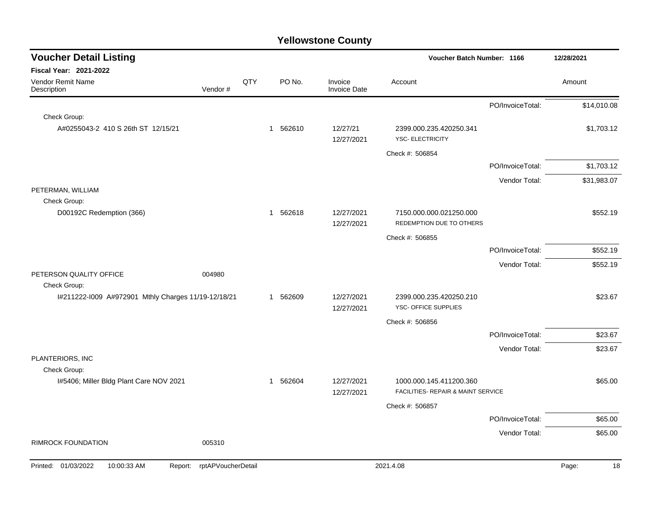| <b>Voucher Detail Listing</b>                                    |     |          |                                | Voucher Batch Number: 1166                          |                  | 12/28/2021  |  |
|------------------------------------------------------------------|-----|----------|--------------------------------|-----------------------------------------------------|------------------|-------------|--|
| Fiscal Year: 2021-2022                                           |     |          |                                |                                                     |                  |             |  |
| Vendor Remit Name<br>Description<br>Vendor#                      | QTY | PO No.   | Invoice<br><b>Invoice Date</b> | Account                                             |                  | Amount      |  |
|                                                                  |     |          |                                |                                                     | PO/InvoiceTotal: | \$14,010.08 |  |
| Check Group:                                                     |     |          |                                |                                                     |                  |             |  |
| A#0255043-2 410 S 26th ST 12/15/21                               |     | 1 562610 | 12/27/21<br>12/27/2021         | 2399.000.235.420250.341<br><b>YSC- ELECTRICITY</b>  |                  | \$1,703.12  |  |
|                                                                  |     |          |                                | Check #: 506854                                     |                  |             |  |
|                                                                  |     |          |                                |                                                     | PO/InvoiceTotal: | \$1,703.12  |  |
|                                                                  |     |          |                                |                                                     | Vendor Total:    | \$31,983.07 |  |
| PETERMAN, WILLIAM                                                |     |          |                                |                                                     |                  |             |  |
| Check Group:                                                     |     |          |                                |                                                     |                  |             |  |
| D00192C Redemption (366)                                         |     | 1 562618 | 12/27/2021<br>12/27/2021       | 7150.000.000.021250.000<br>REDEMPTION DUE TO OTHERS |                  | \$552.19    |  |
|                                                                  |     |          |                                | Check #: 506855                                     |                  |             |  |
|                                                                  |     |          |                                |                                                     | PO/InvoiceTotal: | \$552.19    |  |
|                                                                  |     |          |                                |                                                     | Vendor Total:    | \$552.19    |  |
| PETERSON QUALITY OFFICE<br>004980<br>Check Group:                |     |          |                                |                                                     |                  |             |  |
| I#211222-I009 A#972901 Mthly Charges 11/19-12/18/21              |     | 1 562609 | 12/27/2021<br>12/27/2021       | 2399.000.235.420250.210<br>YSC- OFFICE SUPPLIES     |                  | \$23.67     |  |
|                                                                  |     |          |                                | Check #: 506856                                     |                  |             |  |
|                                                                  |     |          |                                |                                                     | PO/InvoiceTotal: | \$23.67     |  |
|                                                                  |     |          |                                |                                                     | Vendor Total:    | \$23.67     |  |
| PLANTERIORS, INC                                                 |     |          |                                |                                                     |                  |             |  |
| Check Group:<br>1#5406; Miller Bldg Plant Care NOV 2021          |     | 1 562604 | 12/27/2021                     | 1000.000.145.411200.360                             |                  | \$65.00     |  |
|                                                                  |     |          | 12/27/2021                     | FACILITIES- REPAIR & MAINT SERVICE                  |                  |             |  |
|                                                                  |     |          |                                | Check #: 506857                                     |                  |             |  |
|                                                                  |     |          |                                |                                                     | PO/InvoiceTotal: | \$65.00     |  |
|                                                                  |     |          |                                |                                                     | Vendor Total:    | \$65.00     |  |
| <b>RIMROCK FOUNDATION</b><br>005310                              |     |          |                                |                                                     |                  |             |  |
| Printed: 01/03/2022<br>10:00:33 AM<br>Report: rptAPVoucherDetail |     |          |                                | 2021.4.08                                           |                  | Page:<br>18 |  |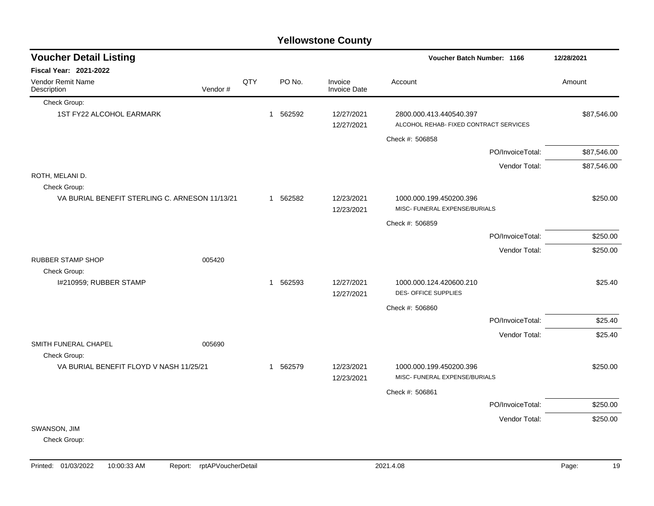|                                                |         |     |              |          | <b>Yellowstone County</b> |                                                                   |                  |             |
|------------------------------------------------|---------|-----|--------------|----------|---------------------------|-------------------------------------------------------------------|------------------|-------------|
| <b>Voucher Detail Listing</b>                  |         |     |              |          |                           | Voucher Batch Number: 1166                                        |                  | 12/28/2021  |
| <b>Fiscal Year: 2021-2022</b>                  |         |     |              |          |                           |                                                                   |                  |             |
| Vendor Remit Name<br>Description               | Vendor# | QTY |              | PO No.   | Invoice<br>Invoice Date   | Account                                                           |                  | Amount      |
| Check Group:                                   |         |     |              |          |                           |                                                                   |                  |             |
| 1ST FY22 ALCOHOL EARMARK                       |         |     | $\mathbf{1}$ | 562592   | 12/27/2021<br>12/27/2021  | 2800.000.413.440540.397<br>ALCOHOL REHAB- FIXED CONTRACT SERVICES |                  | \$87,546.00 |
|                                                |         |     |              |          |                           | Check #: 506858                                                   |                  |             |
|                                                |         |     |              |          |                           |                                                                   | PO/InvoiceTotal: | \$87,546.00 |
|                                                |         |     |              |          |                           |                                                                   | Vendor Total:    | \$87,546.00 |
| ROTH, MELANI D.<br>Check Group:                |         |     |              |          |                           |                                                                   |                  |             |
| VA BURIAL BENEFIT STERLING C. ARNESON 11/13/21 |         |     |              | 1 562582 | 12/23/2021<br>12/23/2021  | 1000.000.199.450200.396<br>MISC- FUNERAL EXPENSE/BURIALS          |                  | \$250.00    |
|                                                |         |     |              |          |                           | Check #: 506859                                                   |                  |             |
|                                                |         |     |              |          |                           |                                                                   | PO/InvoiceTotal: | \$250.00    |
|                                                |         |     |              |          |                           |                                                                   | Vendor Total:    | \$250.00    |
| <b>RUBBER STAMP SHOP</b>                       | 005420  |     |              |          |                           |                                                                   |                  |             |
| Check Group:                                   |         |     |              |          |                           |                                                                   |                  |             |
| I#210959; RUBBER STAMP                         |         |     |              | 1 562593 | 12/27/2021<br>12/27/2021  | 1000.000.124.420600.210<br><b>DES- OFFICE SUPPLIES</b>            |                  | \$25.40     |
|                                                |         |     |              |          |                           | Check #: 506860                                                   |                  |             |
|                                                |         |     |              |          |                           |                                                                   | PO/InvoiceTotal: | \$25.40     |
| SMITH FUNERAL CHAPEL                           | 005690  |     |              |          |                           |                                                                   | Vendor Total:    | \$25.40     |
| Check Group:                                   |         |     |              |          |                           |                                                                   |                  |             |
| VA BURIAL BENEFIT FLOYD V NASH 11/25/21        |         |     |              | 1 562579 | 12/23/2021<br>12/23/2021  | 1000.000.199.450200.396<br>MISC- FUNERAL EXPENSE/BURIALS          |                  | \$250.00    |
|                                                |         |     |              |          |                           | Check #: 506861                                                   |                  |             |
|                                                |         |     |              |          |                           |                                                                   | PO/InvoiceTotal: | \$250.00    |
|                                                |         |     |              |          |                           |                                                                   | Vendor Total:    | \$250.00    |
| SWANSON, JIM                                   |         |     |              |          |                           |                                                                   |                  |             |
| Check Group:                                   |         |     |              |          |                           |                                                                   |                  |             |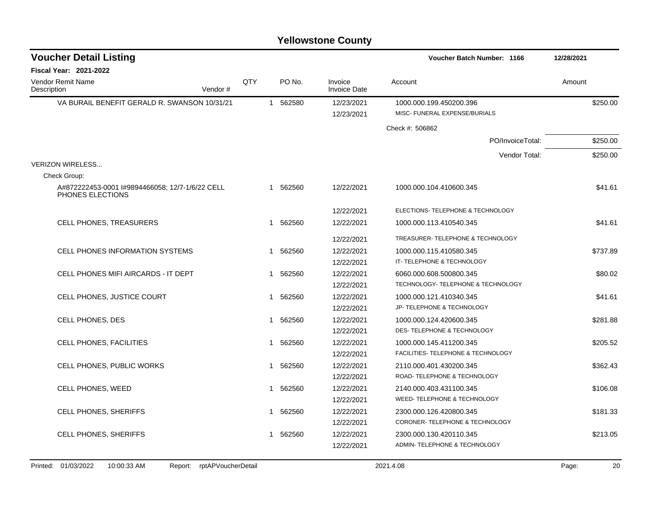| <b>Voucher Detail Listing</b>                                      |     |   |          |                                | <b>Voucher Batch Number: 1166</b>                        | 12/28/2021 |
|--------------------------------------------------------------------|-----|---|----------|--------------------------------|----------------------------------------------------------|------------|
| <b>Fiscal Year: 2021-2022</b>                                      |     |   |          |                                |                                                          |            |
| <b>Vendor Remit Name</b><br>Vendor#<br>Description                 | QTY |   | PO No.   | Invoice<br><b>Invoice Date</b> | Account                                                  | Amount     |
| VA BURAIL BENEFIT GERALD R. SWANSON 10/31/21                       |     |   | 1 562580 | 12/23/2021<br>12/23/2021       | 1000.000.199.450200.396<br>MISC- FUNERAL EXPENSE/BURIALS | \$250.00   |
|                                                                    |     |   |          |                                | Check #: 506862                                          |            |
|                                                                    |     |   |          |                                | PO/InvoiceTotal:                                         | \$250.00   |
|                                                                    |     |   |          |                                | Vendor Total:                                            | \$250.00   |
| <b>VERIZON WIRELESS</b>                                            |     |   |          |                                |                                                          |            |
| Check Group:                                                       |     |   |          |                                |                                                          |            |
| A#872222453-0001 #9894466058; 12/7-1/6/22 CELL<br>PHONES ELECTIONS |     |   | 1 562560 | 12/22/2021                     | 1000.000.104.410600.345                                  | \$41.61    |
|                                                                    |     |   |          | 12/22/2021                     | ELECTIONS- TELEPHONE & TECHNOLOGY                        |            |
| CELL PHONES, TREASURERS                                            |     |   | 1 562560 | 12/22/2021                     | 1000.000.113.410540.345                                  | \$41.61    |
|                                                                    |     |   |          | 12/22/2021                     | TREASURER- TELEPHONE & TECHNOLOGY                        |            |
| <b>CELL PHONES INFORMATION SYSTEMS</b>                             |     | 1 | 562560   | 12/22/2021                     | 1000.000.115.410580.345                                  | \$737.89   |
|                                                                    |     |   |          | 12/22/2021                     | IT- TELEPHONE & TECHNOLOGY                               |            |
| CELL PHONES MIFI AIRCARDS - IT DEPT                                |     |   | 1 562560 | 12/22/2021                     | 6060.000.608.500800.345                                  | \$80.02    |
|                                                                    |     |   |          | 12/22/2021                     | TECHNOLOGY- TELEPHONE & TECHNOLOGY                       |            |
| CELL PHONES, JUSTICE COURT                                         |     |   | 1 562560 | 12/22/2021                     | 1000.000.121.410340.345                                  | \$41.61    |
|                                                                    |     |   |          | 12/22/2021                     | JP- TELEPHONE & TECHNOLOGY                               |            |
| CELL PHONES, DES                                                   |     |   | 1 562560 | 12/22/2021                     | 1000.000.124.420600.345                                  | \$281.88   |
|                                                                    |     |   |          | 12/22/2021                     | DES- TELEPHONE & TECHNOLOGY                              |            |
| <b>CELL PHONES, FACILITIES</b>                                     |     | 1 | 562560   | 12/22/2021                     | 1000.000.145.411200.345                                  | \$205.52   |
|                                                                    |     |   |          | 12/22/2021                     | FACILITIES- TELEPHONE & TECHNOLOGY                       |            |
| CELL PHONES, PUBLIC WORKS                                          |     |   | 1 562560 | 12/22/2021                     | 2110.000.401.430200.345                                  | \$362.43   |
|                                                                    |     |   |          | 12/22/2021                     | ROAD-TELEPHONE & TECHNOLOGY                              |            |
| <b>CELL PHONES, WEED</b>                                           |     |   | 1 562560 | 12/22/2021                     | 2140.000.403.431100.345                                  | \$106.08   |
|                                                                    |     |   |          | 12/22/2021                     | WEED- TELEPHONE & TECHNOLOGY                             |            |
| CELL PHONES, SHERIFFS                                              |     |   | 1 562560 | 12/22/2021                     | 2300.000.126.420800.345                                  | \$181.33   |
|                                                                    |     |   |          | 12/22/2021                     | CORONER-TELEPHONE & TECHNOLOGY                           |            |
| <b>CELL PHONES, SHERIFFS</b>                                       |     |   | 1 562560 | 12/22/2021                     | 2300.000.130.420110.345                                  | \$213.05   |
|                                                                    |     |   |          | 12/22/2021                     | ADMIN-TELEPHONE & TECHNOLOGY                             |            |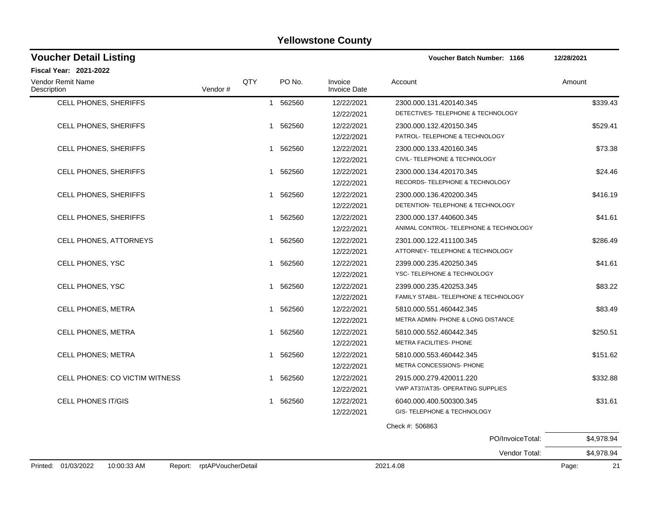| <b>Voucher Detail Listing</b>    |         |     |             |                                | Voucher Batch Number: 1166             | 12/28/2021 |
|----------------------------------|---------|-----|-------------|--------------------------------|----------------------------------------|------------|
| <b>Fiscal Year: 2021-2022</b>    |         |     |             |                                |                                        |            |
| Vendor Remit Name<br>Description | Vendor# | QTY | PO No.      | Invoice<br><b>Invoice Date</b> | Account                                | Amount     |
| CELL PHONES, SHERIFFS            |         |     | 1 562560    | 12/22/2021                     | 2300.000.131.420140.345                | \$339.43   |
|                                  |         |     |             | 12/22/2021                     | DETECTIVES- TELEPHONE & TECHNOLOGY     |            |
| <b>CELL PHONES, SHERIFFS</b>     |         |     | 1 562560    | 12/22/2021                     | 2300.000.132.420150.345                | \$529.41   |
|                                  |         |     |             | 12/22/2021                     | PATROL- TELEPHONE & TECHNOLOGY         |            |
| <b>CELL PHONES, SHERIFFS</b>     |         |     | 562560<br>1 | 12/22/2021                     | 2300.000.133.420160.345                | \$73.38    |
|                                  |         |     |             | 12/22/2021                     | CIVIL- TELEPHONE & TECHNOLOGY          |            |
| <b>CELL PHONES, SHERIFFS</b>     |         | 1   | 562560      | 12/22/2021                     | 2300.000.134.420170.345                | \$24.46    |
|                                  |         |     |             | 12/22/2021                     | RECORDS- TELEPHONE & TECHNOLOGY        |            |
| CELL PHONES, SHERIFFS            |         |     | 1 562560    | 12/22/2021                     | 2300.000.136.420200.345                | \$416.19   |
|                                  |         |     |             | 12/22/2021                     | DETENTION- TELEPHONE & TECHNOLOGY      |            |
| <b>CELL PHONES, SHERIFFS</b>     |         |     | 1 562560    | 12/22/2021                     | 2300.000.137.440600.345                | \$41.61    |
|                                  |         |     |             | 12/22/2021                     | ANIMAL CONTROL- TELEPHONE & TECHNOLOGY |            |
| <b>CELL PHONES, ATTORNEYS</b>    |         | 1   | 562560      | 12/22/2021                     | 2301.000.122.411100.345                | \$286.49   |
|                                  |         |     |             | 12/22/2021                     | ATTORNEY- TELEPHONE & TECHNOLOGY       |            |
| CELL PHONES, YSC                 |         | 1   | 562560      | 12/22/2021                     | 2399.000.235.420250.345                | \$41.61    |
|                                  |         |     |             | 12/22/2021                     | YSC-TELEPHONE & TECHNOLOGY             |            |
| CELL PHONES, YSC                 |         |     | 1 562560    | 12/22/2021                     | 2399.000.235.420253.345                | \$83.22    |
|                                  |         |     |             | 12/22/2021                     | FAMILY STABIL- TELEPHONE & TECHNOLOGY  |            |
| <b>CELL PHONES, METRA</b>        |         |     | 562560<br>1 | 12/22/2021                     | 5810.000.551.460442.345                | \$83.49    |
|                                  |         |     |             | 12/22/2021                     | METRA ADMIN- PHONE & LONG DISTANCE     |            |
| CELL PHONES, METRA               |         |     | 562560<br>1 | 12/22/2021                     | 5810.000.552.460442.345                | \$250.51   |
|                                  |         |     |             | 12/22/2021                     | METRA FACILITIES- PHONE                |            |
| <b>CELL PHONES; METRA</b>        |         | 1   | 562560      | 12/22/2021                     | 5810.000.553.460442.345                | \$151.62   |
|                                  |         |     |             | 12/22/2021                     | METRA CONCESSIONS- PHONE               |            |
| CELL PHONES: CO VICTIM WITNESS   |         |     | 562560<br>1 | 12/22/2021                     | 2915.000.279.420011.220                | \$332.88   |
|                                  |         |     |             | 12/22/2021                     | VWP AT37/AT35- OPERATING SUPPLIES      |            |
| <b>CELL PHONES IT/GIS</b>        |         |     | 1 562560    | 12/22/2021                     | 6040.000.400.500300.345                | \$31.61    |
|                                  |         |     |             | 12/22/2021                     | GIS-TELEPHONE & TECHNOLOGY             |            |
|                                  |         |     |             |                                |                                        |            |

Check #: 506863 PO/InvoiceTotal: \$4,978.94 Vendor Total: \$4,978.94 Printed: 01/03/2022 10:00:33 AM Report: rptAPVoucherDetail 2021.4.08 2021.4.08 Page: 21